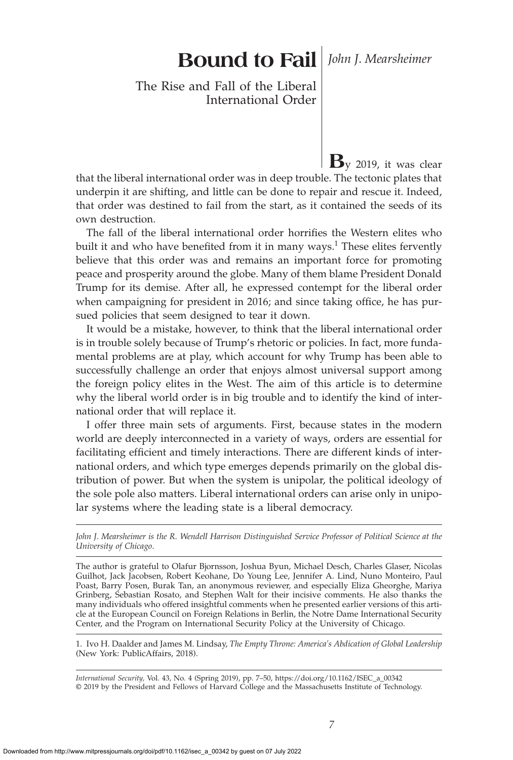# **Bound to Fail** *John J. Mearsheimer*

The Rise and Fall of the Liberal International Order

 $\mathbf{B}_v$  2019, it was clear that the liberal international order was in deep trouble. The tectonic plates that underpin it are shifting, and little can be done to repair and rescue it. Indeed, that order was destined to fail from the start, as it contained the seeds of its own destruction.

The fall of the liberal international order horrifies the Western elites who built it and who have benefited from it in many ways.<sup>1</sup> These elites fervently believe that this order was and remains an important force for promoting peace and prosperity around the globe. Many of them blame President Donald Trump for its demise. After all, he expressed contempt for the liberal order when campaigning for president in 2016; and since taking office, he has pursued policies that seem designed to tear it down.

It would be a mistake, however, to think that the liberal international order is in trouble solely because of Trump's rhetoric or policies. In fact, more fundamental problems are at play, which account for why Trump has been able to successfully challenge an order that enjoys almost universal support among the foreign policy elites in the West. The aim of this article is to determine why the liberal world order is in big trouble and to identify the kind of international order that will replace it.

I offer three main sets of arguments. First, because states in the modern world are deeply interconnected in a variety of ways, orders are essential for facilitating efficient and timely interactions. There are different kinds of international orders, and which type emerges depends primarily on the global distribution of power. But when the system is unipolar, the political ideology of the sole pole also matters. Liberal international orders can arise only in unipolar systems where the leading state is a liberal democracy.

*John J. Mearsheimer is the R. Wendell Harrison Distinguished Service Professor of Political Science at the University of Chicago*.

The author is grateful to Olafur Bjornsson, Joshua Byun, Michael Desch, Charles Glaser, Nicolas Guilhot, Jack Jacobsen, Robert Keohane, Do Young Lee, Jennifer A. Lind, Nuno Monteiro, Paul Poast, Barry Posen, Burak Tan, an anonymous reviewer, and especially Eliza Gheorghe, Mariya Grinberg, Sebastian Rosato, and Stephen Walt for their incisive comments. He also thanks the many individuals who offered insightful comments when he presented earlier versions of this article at the European Council on Foreign Relations in Berlin, the Notre Dame International Security Center, and the Program on International Security Policy at the University of Chicago.

1. Ivo H. Daalder and James M. Lindsay, *The Empty Throne: America's Abdication of Global Leadership* (New York: PublicAffairs, 2018).

*International Security,* Vol. 43, No. 4 (Spring 2019), pp. 7–50, https://doi.org/10.1162/ISEC\_a\_00342 © 2019 by the President and Fellows of Harvard College and the Massachusetts Institute of Technology.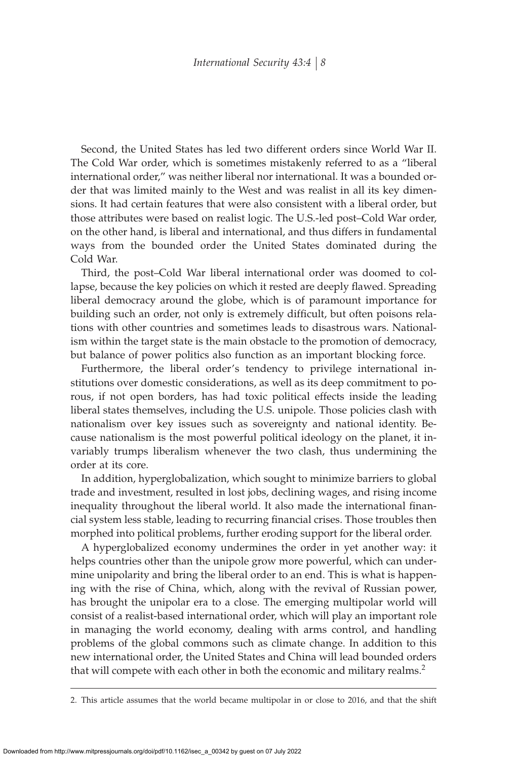Second, the United States has led two different orders since World War II. The Cold War order, which is sometimes mistakenly referred to as a "liberal international order," was neither liberal nor international. It was a bounded order that was limited mainly to the West and was realist in all its key dimensions. It had certain features that were also consistent with a liberal order, but those attributes were based on realist logic. The U.S.-led post–Cold War order, on the other hand, is liberal and international, and thus differs in fundamental ways from the bounded order the United States dominated during the Cold War.

Third, the post–Cold War liberal international order was doomed to collapse, because the key policies on which it rested are deeply flawed. Spreading liberal democracy around the globe, which is of paramount importance for building such an order, not only is extremely difficult, but often poisons relations with other countries and sometimes leads to disastrous wars. Nationalism within the target state is the main obstacle to the promotion of democracy, but balance of power politics also function as an important blocking force.

Furthermore, the liberal order's tendency to privilege international institutions over domestic considerations, as well as its deep commitment to porous, if not open borders, has had toxic political effects inside the leading liberal states themselves, including the U.S. unipole. Those policies clash with nationalism over key issues such as sovereignty and national identity. Because nationalism is the most powerful political ideology on the planet, it invariably trumps liberalism whenever the two clash, thus undermining the order at its core.

In addition, hyperglobalization, which sought to minimize barriers to global trade and investment, resulted in lost jobs, declining wages, and rising income inequality throughout the liberal world. It also made the international financial system less stable, leading to recurring financial crises. Those troubles then morphed into political problems, further eroding support for the liberal order.

A hyperglobalized economy undermines the order in yet another way: it helps countries other than the unipole grow more powerful, which can undermine unipolarity and bring the liberal order to an end. This is what is happening with the rise of China, which, along with the revival of Russian power, has brought the unipolar era to a close. The emerging multipolar world will consist of a realist-based international order, which will play an important role in managing the world economy, dealing with arms control, and handling problems of the global commons such as climate change. In addition to this new international order, the United States and China will lead bounded orders that will compete with each other in both the economic and military realms.<sup>2</sup>

<sup>2.</sup> This article assumes that the world became multipolar in or close to 2016, and that the shift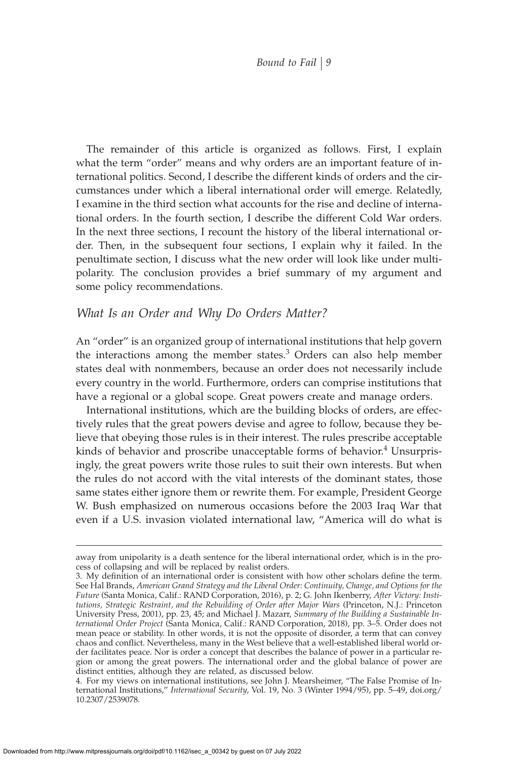The remainder of this article is organized as follows. First, I explain what the term "order" means and why orders are an important feature of international politics. Second, I describe the different kinds of orders and the circumstances under which a liberal international order will emerge. Relatedly, I examine in the third section what accounts for the rise and decline of international orders. In the fourth section, I describe the different Cold War orders. In the next three sections, I recount the history of the liberal international order. Then, in the subsequent four sections, I explain why it failed. In the penultimate section, I discuss what the new order will look like under multipolarity. The conclusion provides a brief summary of my argument and some policy recommendations.

#### *What Is an Order and Why Do Orders Matter?*

An "order" is an organized group of international institutions that help govern the interactions among the member states.<sup>3</sup> Orders can also help member states deal with nonmembers, because an order does not necessarily include every country in the world. Furthermore, orders can comprise institutions that have a regional or a global scope. Great powers create and manage orders.

International institutions, which are the building blocks of orders, are effectively rules that the great powers devise and agree to follow, because they believe that obeying those rules is in their interest. The rules prescribe acceptable kinds of behavior and proscribe unacceptable forms of behavior.<sup>4</sup> Unsurprisingly, the great powers write those rules to suit their own interests. But when the rules do not accord with the vital interests of the dominant states, those same states either ignore them or rewrite them. For example, President George W. Bush emphasized on numerous occasions before the 2003 Iraq War that even if a U.S. invasion violated international law, "America will do what is

away from unipolarity is a death sentence for the liberal international order, which is in the process of collapsing and will be replaced by realist orders.

<sup>3.</sup> My definition of an international order is consistent with how other scholars define the term. See Hal Brands, *American Grand Strategy and the Liberal Order: Continuity, Change, and Options for the Future* (Santa Monica, Calif.: RAND Corporation, 2016), p. 2; G. John Ikenberry, *After Victory: Institutions, Strategic Restraint, and the Rebuilding of Order after Major Wars* (Princeton, N.J.: Princeton University Press, 2001), pp. 23, 45; and Michael J. Mazarr, *Summary of the Building a Sustainable International Order Project* (Santa Monica, Calif.: RAND Corporation, 2018), pp. 3–5. Order does not mean peace or stability. In other words, it is not the opposite of disorder, a term that can convey chaos and conflict. Nevertheless, many in the West believe that a well-established liberal world order facilitates peace. Nor is order a concept that describes the balance of power in a particular region or among the great powers. The international order and the global balance of power are distinct entities, although they are related, as discussed below.

<sup>4.</sup> For my views on international institutions, see John J. Mearsheimer, "The False Promise of International Institutions," *International Security*, Vol. 19, No. 3 (Winter 1994/95), pp. 5–49, doi.org/ 10.2307/2539078.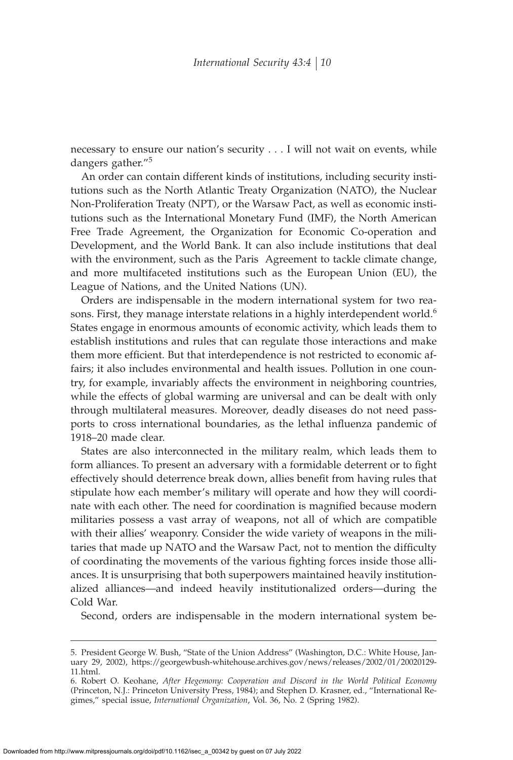necessary to ensure our nation's security...I will not wait on events, while dangers gather."<sup>5</sup>

An order can contain different kinds of institutions, including security institutions such as the North Atlantic Treaty Organization (NATO), the Nuclear Non-Proliferation Treaty (NPT), or the Warsaw Pact, as well as economic institutions such as the International Monetary Fund (IMF), the North American Free Trade Agreement, the Organization for Economic Co-operation and Development, and the World Bank. It can also include institutions that deal with the environment, such as the Paris Agreement to tackle climate change, and more multifaceted institutions such as the European Union (EU), the League of Nations, and the United Nations (UN).

Orders are indispensable in the modern international system for two reasons. First, they manage interstate relations in a highly interdependent world.<sup>6</sup> States engage in enormous amounts of economic activity, which leads them to establish institutions and rules that can regulate those interactions and make them more efficient. But that interdependence is not restricted to economic affairs; it also includes environmental and health issues. Pollution in one country, for example, invariably affects the environment in neighboring countries, while the effects of global warming are universal and can be dealt with only through multilateral measures. Moreover, deadly diseases do not need passports to cross international boundaries, as the lethal influenza pandemic of 1918–20 made clear.

States are also interconnected in the military realm, which leads them to form alliances. To present an adversary with a formidable deterrent or to fight effectively should deterrence break down, allies benefit from having rules that stipulate how each member's military will operate and how they will coordinate with each other. The need for coordination is magnified because modern militaries possess a vast array of weapons, not all of which are compatible with their allies' weaponry. Consider the wide variety of weapons in the militaries that made up NATO and the Warsaw Pact, not to mention the difficulty of coordinating the movements of the various fighting forces inside those alliances. It is unsurprising that both superpowers maintained heavily institutionalized alliances—and indeed heavily institutionalized orders—during the Cold War.

Second, orders are indispensable in the modern international system be-

<sup>5.</sup> President George W. Bush, "State of the Union Address" (Washington, D.C.: White House, January 29, 2002), https://georgewbush-whitehouse.archives.gov/news/releases/2002/01/20020129- 11.html.

<sup>6.</sup> Robert O. Keohane, *After Hegemony: Cooperation and Discord in the World Political Economy* (Princeton, N.J.: Princeton University Press, 1984); and Stephen D. Krasner, ed., "International Regimes," special issue, *International Organization*, Vol. 36, No. 2 (Spring 1982).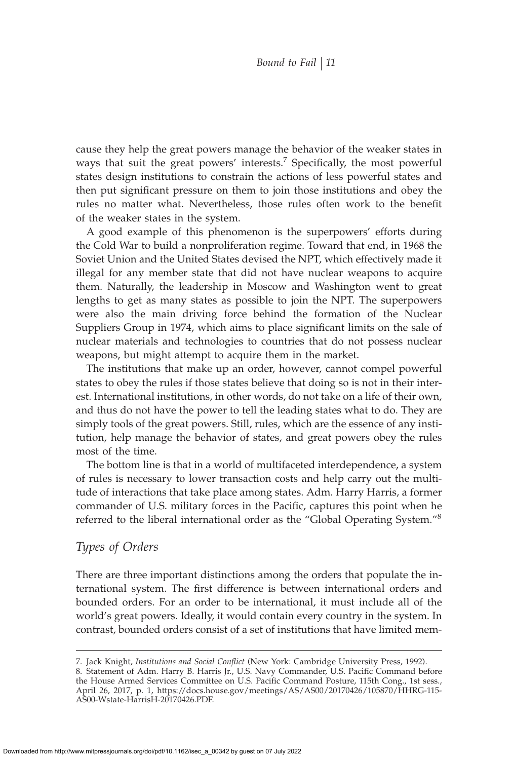cause they help the great powers manage the behavior of the weaker states in ways that suit the great powers' interests.<sup>7</sup> Specifically, the most powerful states design institutions to constrain the actions of less powerful states and then put significant pressure on them to join those institutions and obey the rules no matter what. Nevertheless, those rules often work to the benefit of the weaker states in the system.

A good example of this phenomenon is the superpowers' efforts during the Cold War to build a nonproliferation regime. Toward that end, in 1968 the Soviet Union and the United States devised the NPT, which effectively made it illegal for any member state that did not have nuclear weapons to acquire them. Naturally, the leadership in Moscow and Washington went to great lengths to get as many states as possible to join the NPT. The superpowers were also the main driving force behind the formation of the Nuclear Suppliers Group in 1974, which aims to place significant limits on the sale of nuclear materials and technologies to countries that do not possess nuclear weapons, but might attempt to acquire them in the market.

The institutions that make up an order, however, cannot compel powerful states to obey the rules if those states believe that doing so is not in their interest. International institutions, in other words, do not take on a life of their own, and thus do not have the power to tell the leading states what to do. They are simply tools of the great powers. Still, rules, which are the essence of any institution, help manage the behavior of states, and great powers obey the rules most of the time.

The bottom line is that in a world of multifaceted interdependence, a system of rules is necessary to lower transaction costs and help carry out the multitude of interactions that take place among states. Adm. Harry Harris, a former commander of U.S. military forces in the Pacific, captures this point when he referred to the liberal international order as the "Global Operating System."<sup>8</sup>

# *Types of Orders*

There are three important distinctions among the orders that populate the international system. The first difference is between international orders and bounded orders. For an order to be international, it must include all of the world's great powers. Ideally, it would contain every country in the system. In contrast, bounded orders consist of a set of institutions that have limited mem-

<sup>7.</sup> Jack Knight, *Institutions and Social Conflict* (New York: Cambridge University Press, 1992). 8. Statement of Adm. Harry B. Harris Jr., U.S. Navy Commander, U.S. Pacific Command before the House Armed Services Committee on U.S. Pacific Command Posture, 115th Cong., 1st sess., April 26, 2017, p. 1, https://docs.house.gov/meetings/AS/AS00/20170426/105870/HHRG-115- AS00-Wstate-HarrisH-20170426.PDF.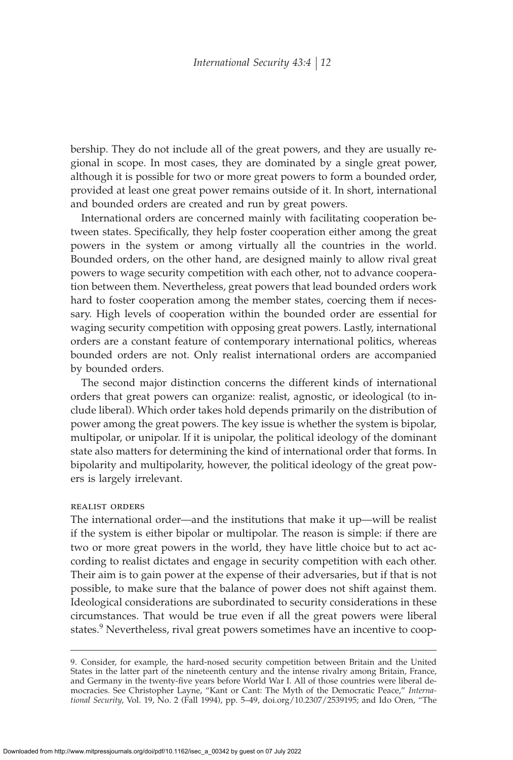bership. They do not include all of the great powers, and they are usually regional in scope. In most cases, they are dominated by a single great power, although it is possible for two or more great powers to form a bounded order, provided at least one great power remains outside of it. In short, international and bounded orders are created and run by great powers.

International orders are concerned mainly with facilitating cooperation between states. Specifically, they help foster cooperation either among the great powers in the system or among virtually all the countries in the world. Bounded orders, on the other hand, are designed mainly to allow rival great powers to wage security competition with each other, not to advance cooperation between them. Nevertheless, great powers that lead bounded orders work hard to foster cooperation among the member states, coercing them if necessary. High levels of cooperation within the bounded order are essential for waging security competition with opposing great powers. Lastly, international orders are a constant feature of contemporary international politics, whereas bounded orders are not. Only realist international orders are accompanied by bounded orders.

The second major distinction concerns the different kinds of international orders that great powers can organize: realist, agnostic, or ideological (to include liberal). Which order takes hold depends primarily on the distribution of power among the great powers. The key issue is whether the system is bipolar, multipolar, or unipolar. If it is unipolar, the political ideology of the dominant state also matters for determining the kind of international order that forms. In bipolarity and multipolarity, however, the political ideology of the great powers is largely irrelevant.

#### realist orders

The international order—and the institutions that make it up—will be realist if the system is either bipolar or multipolar. The reason is simple: if there are two or more great powers in the world, they have little choice but to act according to realist dictates and engage in security competition with each other. Their aim is to gain power at the expense of their adversaries, but if that is not possible, to make sure that the balance of power does not shift against them. Ideological considerations are subordinated to security considerations in these circumstances. That would be true even if all the great powers were liberal states.<sup>9</sup> Nevertheless, rival great powers sometimes have an incentive to coop-

<sup>9.</sup> Consider, for example, the hard-nosed security competition between Britain and the United States in the latter part of the nineteenth century and the intense rivalry among Britain, France, and Germany in the twenty-five years before World War I. All of those countries were liberal democracies. See Christopher Layne, "Kant or Cant: The Myth of the Democratic Peace," *International Security*, Vol. 19, No. 2 (Fall 1994), pp. 5–49, doi.org/10.2307/2539195; and Ido Oren, "The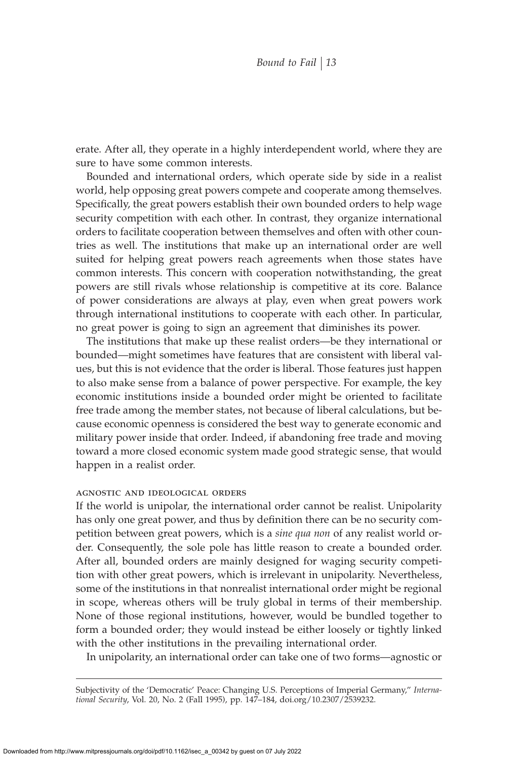erate. After all, they operate in a highly interdependent world, where they are sure to have some common interests.

Bounded and international orders, which operate side by side in a realist world, help opposing great powers compete and cooperate among themselves. Specifically, the great powers establish their own bounded orders to help wage security competition with each other. In contrast, they organize international orders to facilitate cooperation between themselves and often with other countries as well. The institutions that make up an international order are well suited for helping great powers reach agreements when those states have common interests. This concern with cooperation notwithstanding, the great powers are still rivals whose relationship is competitive at its core. Balance of power considerations are always at play, even when great powers work through international institutions to cooperate with each other. In particular, no great power is going to sign an agreement that diminishes its power.

The institutions that make up these realist orders—be they international or bounded—might sometimes have features that are consistent with liberal values, but this is not evidence that the order is liberal. Those features just happen to also make sense from a balance of power perspective. For example, the key economic institutions inside a bounded order might be oriented to facilitate free trade among the member states, not because of liberal calculations, but because economic openness is considered the best way to generate economic and military power inside that order. Indeed, if abandoning free trade and moving toward a more closed economic system made good strategic sense, that would happen in a realist order.

#### agnostic and ideological orders

If the world is unipolar, the international order cannot be realist. Unipolarity has only one great power, and thus by definition there can be no security competition between great powers, which is a *sine qua non* of any realist world order. Consequently, the sole pole has little reason to create a bounded order. After all, bounded orders are mainly designed for waging security competition with other great powers, which is irrelevant in unipolarity. Nevertheless, some of the institutions in that nonrealist international order might be regional in scope, whereas others will be truly global in terms of their membership. None of those regional institutions, however, would be bundled together to form a bounded order; they would instead be either loosely or tightly linked with the other institutions in the prevailing international order.

In unipolarity, an international order can take one of two forms—agnostic or

Subjectivity of the 'Democratic' Peace: Changing U.S. Perceptions of Imperial Germany," *International Security*, Vol. 20, No. 2 (Fall 1995), pp. 147–184, doi.org/10.2307/2539232.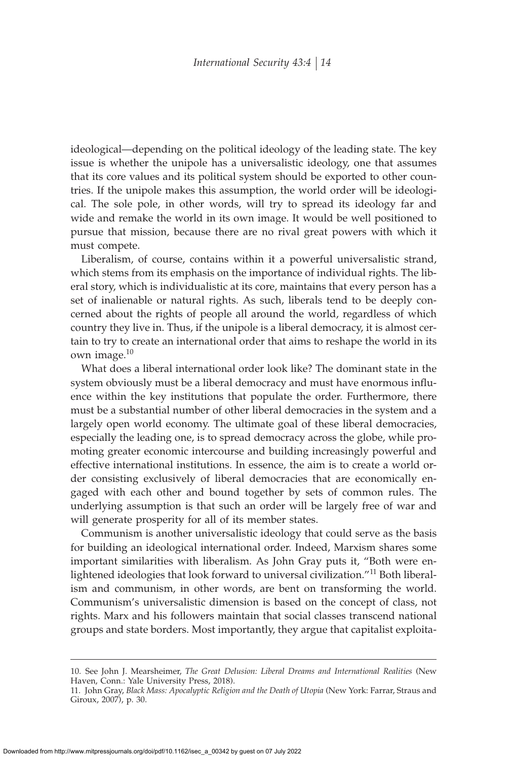ideological—depending on the political ideology of the leading state. The key issue is whether the unipole has a universalistic ideology, one that assumes that its core values and its political system should be exported to other countries. If the unipole makes this assumption, the world order will be ideological. The sole pole, in other words, will try to spread its ideology far and wide and remake the world in its own image. It would be well positioned to pursue that mission, because there are no rival great powers with which it must compete.

Liberalism, of course, contains within it a powerful universalistic strand, which stems from its emphasis on the importance of individual rights. The liberal story, which is individualistic at its core, maintains that every person has a set of inalienable or natural rights. As such, liberals tend to be deeply concerned about the rights of people all around the world, regardless of which country they live in. Thus, if the unipole is a liberal democracy, it is almost certain to try to create an international order that aims to reshape the world in its own image.<sup>10</sup>

What does a liberal international order look like? The dominant state in the system obviously must be a liberal democracy and must have enormous influence within the key institutions that populate the order. Furthermore, there must be a substantial number of other liberal democracies in the system and a largely open world economy. The ultimate goal of these liberal democracies, especially the leading one, is to spread democracy across the globe, while promoting greater economic intercourse and building increasingly powerful and effective international institutions. In essence, the aim is to create a world order consisting exclusively of liberal democracies that are economically engaged with each other and bound together by sets of common rules. The underlying assumption is that such an order will be largely free of war and will generate prosperity for all of its member states.

Communism is another universalistic ideology that could serve as the basis for building an ideological international order. Indeed, Marxism shares some important similarities with liberalism. As John Gray puts it, "Both were enlightened ideologies that look forward to universal civilization."<sup>11</sup> Both liberalism and communism, in other words, are bent on transforming the world. Communism's universalistic dimension is based on the concept of class, not rights. Marx and his followers maintain that social classes transcend national groups and state borders. Most importantly, they argue that capitalist exploita-

<sup>10.</sup> See John J. Mearsheimer, *The Great Delusion: Liberal Dreams and International Realities* (New Haven, Conn.: Yale University Press, 2018).

<sup>11.</sup> John Gray, *Black Mass: Apocalyptic Religion and the Death of Utopia* (New York: Farrar, Straus and Giroux, 2007), p. 30.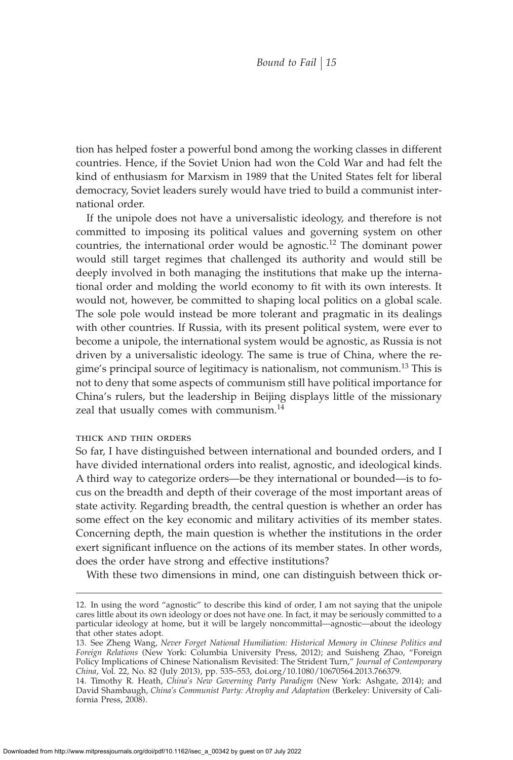tion has helped foster a powerful bond among the working classes in different countries. Hence, if the Soviet Union had won the Cold War and had felt the kind of enthusiasm for Marxism in 1989 that the United States felt for liberal democracy, Soviet leaders surely would have tried to build a communist international order.

If the unipole does not have a universalistic ideology, and therefore is not committed to imposing its political values and governing system on other countries, the international order would be agnostic.<sup>12</sup> The dominant power would still target regimes that challenged its authority and would still be deeply involved in both managing the institutions that make up the international order and molding the world economy to fit with its own interests. It would not, however, be committed to shaping local politics on a global scale. The sole pole would instead be more tolerant and pragmatic in its dealings with other countries. If Russia, with its present political system, were ever to become a unipole, the international system would be agnostic, as Russia is not driven by a universalistic ideology. The same is true of China, where the regime's principal source of legitimacy is nationalism, not communism.<sup>13</sup> This is not to deny that some aspects of communism still have political importance for China's rulers, but the leadership in Beijing displays little of the missionary zeal that usually comes with communism.<sup>14</sup>

#### thick and thin orders

So far, I have distinguished between international and bounded orders, and I have divided international orders into realist, agnostic, and ideological kinds. A third way to categorize orders—be they international or bounded—is to focus on the breadth and depth of their coverage of the most important areas of state activity. Regarding breadth, the central question is whether an order has some effect on the key economic and military activities of its member states. Concerning depth, the main question is whether the institutions in the order exert significant influence on the actions of its member states. In other words, does the order have strong and effective institutions?

With these two dimensions in mind, one can distinguish between thick or-

<sup>12.</sup> In using the word "agnostic" to describe this kind of order, I am not saying that the unipole cares little about its own ideology or does not have one. In fact, it may be seriously committed to a particular ideology at home, but it will be largely noncommittal—agnostic—about the ideology that other states adopt.

<sup>13.</sup> See Zheng Wang, *Never Forget National Humiliation: Historical Memory in Chinese Politics and Foreign Relations* (New York: Columbia University Press, 2012); and Suisheng Zhao, "Foreign Policy Implications of Chinese Nationalism Revisited: The Strident Turn," *Journal of Contemporary China*, Vol. 22, No. 82 (July 2013), pp. 535–553, doi.org/10.1080/10670564.2013.766379.

<sup>14.</sup> Timothy R. Heath, *China's New Governing Party Paradigm* (New York: Ashgate, 2014); and David Shambaugh, *China's Communist Party: Atrophy and Adaptation* (Berkeley: University of California Press, 2008).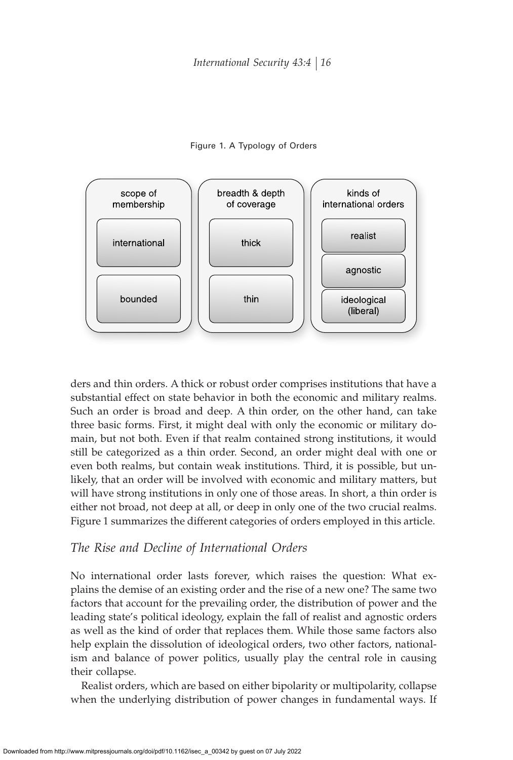



ders and thin orders. A thick or robust order comprises institutions that have a substantial effect on state behavior in both the economic and military realms. Such an order is broad and deep. A thin order, on the other hand, can take three basic forms. First, it might deal with only the economic or military domain, but not both. Even if that realm contained strong institutions, it would still be categorized as a thin order. Second, an order might deal with one or even both realms, but contain weak institutions. Third, it is possible, but unlikely, that an order will be involved with economic and military matters, but will have strong institutions in only one of those areas. In short, a thin order is either not broad, not deep at all, or deep in only one of the two crucial realms. Figure 1 summarizes the different categories of orders employed in this article.

## *The Rise and Decline of International Orders*

No international order lasts forever, which raises the question: What explains the demise of an existing order and the rise of a new one? The same two factors that account for the prevailing order, the distribution of power and the leading state's political ideology, explain the fall of realist and agnostic orders as well as the kind of order that replaces them. While those same factors also help explain the dissolution of ideological orders, two other factors, nationalism and balance of power politics, usually play the central role in causing their collapse.

Realist orders, which are based on either bipolarity or multipolarity, collapse when the underlying distribution of power changes in fundamental ways. If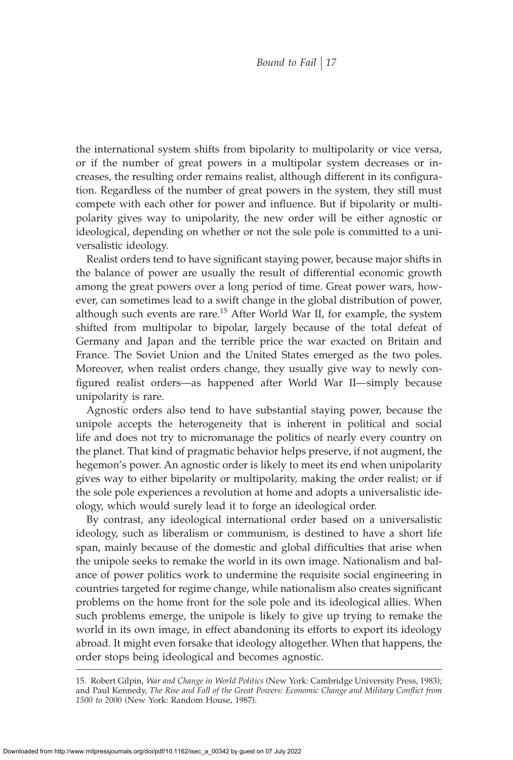the international system shifts from bipolarity to multipolarity or vice versa, or if the number of great powers in a multipolar system decreases or increases, the resulting order remains realist, although different in its configuration. Regardless of the number of great powers in the system, they still must compete with each other for power and influence. But if bipolarity or multipolarity gives way to unipolarity, the new order will be either agnostic or ideological, depending on whether or not the sole pole is committed to a universalistic ideology.

Realist orders tend to have significant staying power, because major shifts in the balance of power are usually the result of differential economic growth among the great powers over a long period of time. Great power wars, however, can sometimes lead to a swift change in the global distribution of power, although such events are rare.<sup>15</sup> After World War II, for example, the system shifted from multipolar to bipolar, largely because of the total defeat of Germany and Japan and the terrible price the war exacted on Britain and France. The Soviet Union and the United States emerged as the two poles. Moreover, when realist orders change, they usually give way to newly configured realist orders—as happened after World War II—simply because unipolarity is rare.

Agnostic orders also tend to have substantial staying power, because the unipole accepts the heterogeneity that is inherent in political and social life and does not try to micromanage the politics of nearly every country on the planet. That kind of pragmatic behavior helps preserve, if not augment, the hegemon's power. An agnostic order is likely to meet its end when unipolarity gives way to either bipolarity or multipolarity, making the order realist; or if the sole pole experiences a revolution at home and adopts a universalistic ideology, which would surely lead it to forge an ideological order.

By contrast, any ideological international order based on a universalistic ideology, such as liberalism or communism, is destined to have a short life span, mainly because of the domestic and global difficulties that arise when the unipole seeks to remake the world in its own image. Nationalism and balance of power politics work to undermine the requisite social engineering in countries targeted for regime change, while nationalism also creates significant problems on the home front for the sole pole and its ideological allies. When such problems emerge, the unipole is likely to give up trying to remake the world in its own image, in effect abandoning its efforts to export its ideology abroad. It might even forsake that ideology altogether. When that happens, the order stops being ideological and becomes agnostic.

<sup>15.</sup> Robert Gilpin, *War and Change in World Politics* (New York: Cambridge University Press, 1983); and Paul Kennedy, *The Rise and Fall of the Great Powers: Economic Change and Military Conflict from 1500 to 2000* (New York: Random House, 1987).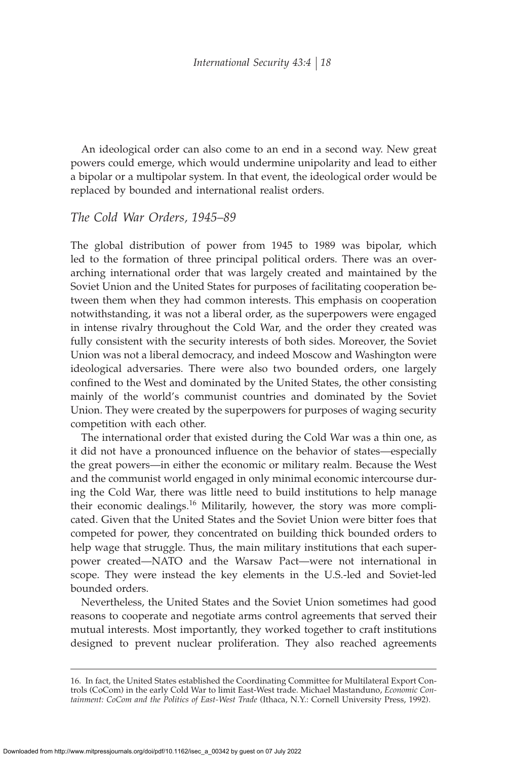An ideological order can also come to an end in a second way. New great powers could emerge, which would undermine unipolarity and lead to either a bipolar or a multipolar system. In that event, the ideological order would be replaced by bounded and international realist orders.

#### *The Cold War Orders, 1945–89*

The global distribution of power from 1945 to 1989 was bipolar, which led to the formation of three principal political orders. There was an overarching international order that was largely created and maintained by the Soviet Union and the United States for purposes of facilitating cooperation between them when they had common interests. This emphasis on cooperation notwithstanding, it was not a liberal order, as the superpowers were engaged in intense rivalry throughout the Cold War, and the order they created was fully consistent with the security interests of both sides. Moreover, the Soviet Union was not a liberal democracy, and indeed Moscow and Washington were ideological adversaries. There were also two bounded orders, one largely confined to the West and dominated by the United States, the other consisting mainly of the world's communist countries and dominated by the Soviet Union. They were created by the superpowers for purposes of waging security competition with each other.

The international order that existed during the Cold War was a thin one, as it did not have a pronounced influence on the behavior of states—especially the great powers—in either the economic or military realm. Because the West and the communist world engaged in only minimal economic intercourse during the Cold War, there was little need to build institutions to help manage their economic dealings.<sup>16</sup> Militarily, however, the story was more complicated. Given that the United States and the Soviet Union were bitter foes that competed for power, they concentrated on building thick bounded orders to help wage that struggle. Thus, the main military institutions that each superpower created—NATO and the Warsaw Pact—were not international in scope. They were instead the key elements in the U.S.-led and Soviet-led bounded orders.

Nevertheless, the United States and the Soviet Union sometimes had good reasons to cooperate and negotiate arms control agreements that served their mutual interests. Most importantly, they worked together to craft institutions designed to prevent nuclear proliferation. They also reached agreements

<sup>16.</sup> In fact, the United States established the Coordinating Committee for Multilateral Export Controls (CoCom) in the early Cold War to limit East-West trade. Michael Mastanduno, *Economic Containment: CoCom and the Politics of East-West Trade* (Ithaca, N.Y.: Cornell University Press, 1992).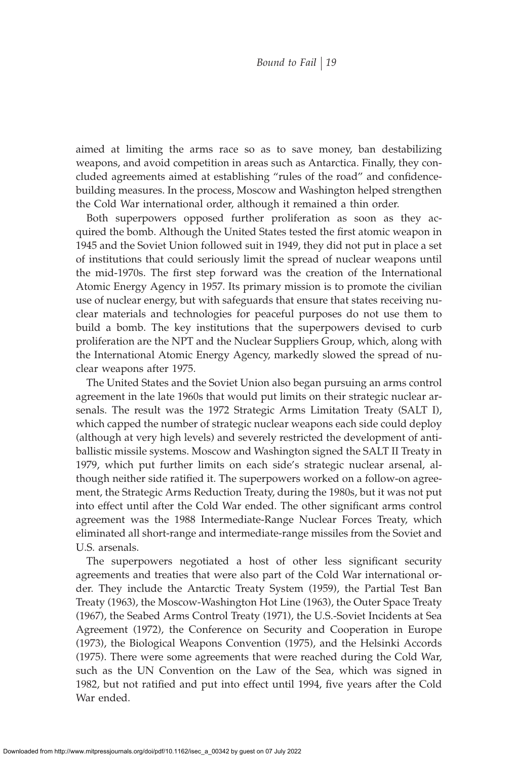aimed at limiting the arms race so as to save money, ban destabilizing weapons, and avoid competition in areas such as Antarctica. Finally, they concluded agreements aimed at establishing "rules of the road" and confidencebuilding measures. In the process, Moscow and Washington helped strengthen the Cold War international order, although it remained a thin order.

Both superpowers opposed further proliferation as soon as they acquired the bomb. Although the United States tested the first atomic weapon in 1945 and the Soviet Union followed suit in 1949, they did not put in place a set of institutions that could seriously limit the spread of nuclear weapons until the mid-1970s. The first step forward was the creation of the International Atomic Energy Agency in 1957. Its primary mission is to promote the civilian use of nuclear energy, but with safeguards that ensure that states receiving nuclear materials and technologies for peaceful purposes do not use them to build a bomb. The key institutions that the superpowers devised to curb proliferation are the NPT and the Nuclear Suppliers Group, which, along with the International Atomic Energy Agency, markedly slowed the spread of nuclear weapons after 1975.

The United States and the Soviet Union also began pursuing an arms control agreement in the late 1960s that would put limits on their strategic nuclear arsenals. The result was the 1972 Strategic Arms Limitation Treaty (SALT I), which capped the number of strategic nuclear weapons each side could deploy (although at very high levels) and severely restricted the development of antiballistic missile systems. Moscow and Washington signed the SALT II Treaty in 1979, which put further limits on each side's strategic nuclear arsenal, although neither side ratified it. The superpowers worked on a follow-on agreement, the Strategic Arms Reduction Treaty, during the 1980s, but it was not put into effect until after the Cold War ended. The other significant arms control agreement was the 1988 Intermediate-Range Nuclear Forces Treaty, which eliminated all short-range and intermediate-range missiles from the Soviet and U.S. arsenals.

The superpowers negotiated a host of other less significant security agreements and treaties that were also part of the Cold War international order. They include the Antarctic Treaty System (1959), the Partial Test Ban Treaty (1963), the Moscow-Washington Hot Line (1963), the Outer Space Treaty (1967), the Seabed Arms Control Treaty (1971), the U.S.-Soviet Incidents at Sea Agreement (1972), the Conference on Security and Cooperation in Europe (1973), the Biological Weapons Convention (1975), and the Helsinki Accords (1975). There were some agreements that were reached during the Cold War, such as the UN Convention on the Law of the Sea, which was signed in 1982, but not ratified and put into effect until 1994, five years after the Cold War ended.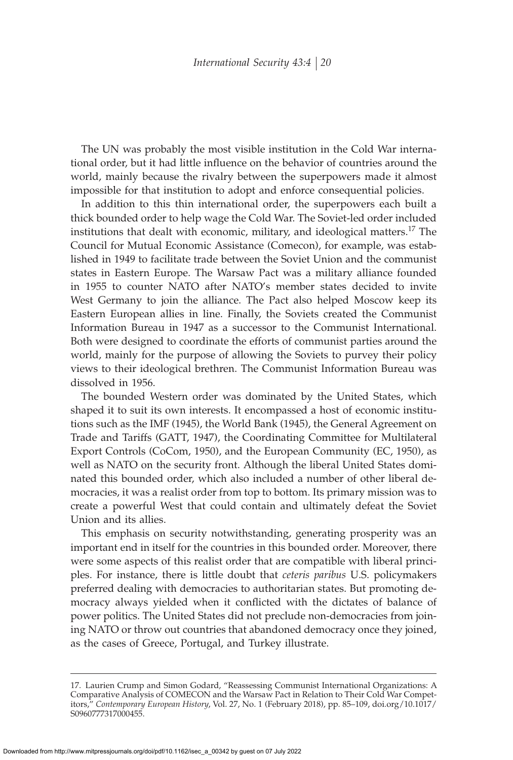The UN was probably the most visible institution in the Cold War international order, but it had little influence on the behavior of countries around the world, mainly because the rivalry between the superpowers made it almost impossible for that institution to adopt and enforce consequential policies.

In addition to this thin international order, the superpowers each built a thick bounded order to help wage the Cold War. The Soviet-led order included institutions that dealt with economic, military, and ideological matters.<sup>17</sup> The Council for Mutual Economic Assistance (Comecon), for example, was established in 1949 to facilitate trade between the Soviet Union and the communist states in Eastern Europe. The Warsaw Pact was a military alliance founded in 1955 to counter NATO after NATO's member states decided to invite West Germany to join the alliance. The Pact also helped Moscow keep its Eastern European allies in line. Finally, the Soviets created the Communist Information Bureau in 1947 as a successor to the Communist International. Both were designed to coordinate the efforts of communist parties around the world, mainly for the purpose of allowing the Soviets to purvey their policy views to their ideological brethren. The Communist Information Bureau was dissolved in 1956.

The bounded Western order was dominated by the United States, which shaped it to suit its own interests. It encompassed a host of economic institutions such as the IMF (1945), the World Bank (1945), the General Agreement on Trade and Tariffs (GATT, 1947), the Coordinating Committee for Multilateral Export Controls (CoCom, 1950), and the European Community (EC, 1950), as well as NATO on the security front. Although the liberal United States dominated this bounded order, which also included a number of other liberal democracies, it was a realist order from top to bottom. Its primary mission was to create a powerful West that could contain and ultimately defeat the Soviet Union and its allies.

This emphasis on security notwithstanding, generating prosperity was an important end in itself for the countries in this bounded order. Moreover, there were some aspects of this realist order that are compatible with liberal principles. For instance, there is little doubt that *ceteris paribus* U.S. policymakers preferred dealing with democracies to authoritarian states. But promoting democracy always yielded when it conflicted with the dictates of balance of power politics. The United States did not preclude non-democracies from joining NATO or throw out countries that abandoned democracy once they joined, as the cases of Greece, Portugal, and Turkey illustrate.

<sup>17.</sup> Laurien Crump and Simon Godard, "Reassessing Communist International Organizations: A Comparative Analysis of COMECON and the Warsaw Pact in Relation to Their Cold War Competitors," *Contemporary European History*, Vol. 27, No. 1 (February 2018), pp. 85–109, doi.org/10.1017/ S0960777317000455.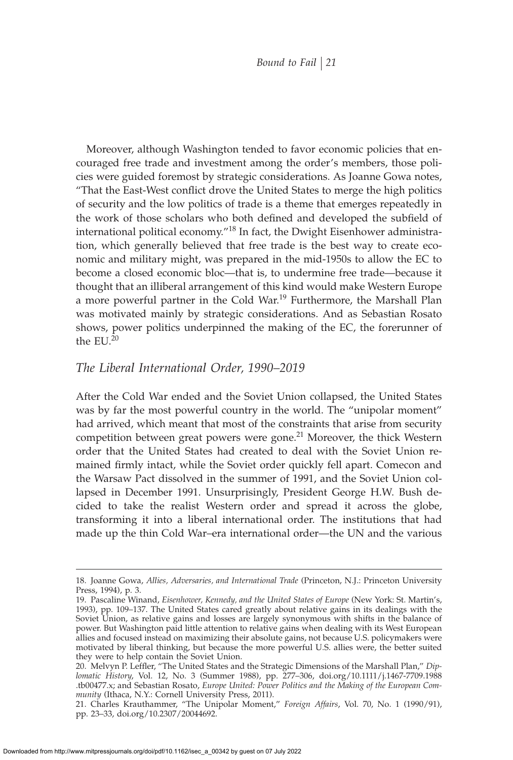Moreover, although Washington tended to favor economic policies that encouraged free trade and investment among the order's members, those policies were guided foremost by strategic considerations. As Joanne Gowa notes, "That the East-West conflict drove the United States to merge the high politics of security and the low politics of trade is a theme that emerges repeatedly in the work of those scholars who both defined and developed the subfield of international political economy."<sup>18</sup> In fact, the Dwight Eisenhower administration, which generally believed that free trade is the best way to create economic and military might, was prepared in the mid-1950s to allow the EC to become a closed economic bloc—that is, to undermine free trade—because it thought that an illiberal arrangement of this kind would make Western Europe a more powerful partner in the Cold War.<sup>19</sup> Furthermore, the Marshall Plan was motivated mainly by strategic considerations. And as Sebastian Rosato shows, power politics underpinned the making of the EC, the forerunner of the EU.<sup>20</sup>

## *The Liberal International Order, 1990–2019*

After the Cold War ended and the Soviet Union collapsed, the United States was by far the most powerful country in the world. The "unipolar moment" had arrived, which meant that most of the constraints that arise from security competition between great powers were gone. $^{21}$  Moreover, the thick Western order that the United States had created to deal with the Soviet Union remained firmly intact, while the Soviet order quickly fell apart. Comecon and the Warsaw Pact dissolved in the summer of 1991, and the Soviet Union collapsed in December 1991. Unsurprisingly, President George H.W. Bush decided to take the realist Western order and spread it across the globe, transforming it into a liberal international order. The institutions that had made up the thin Cold War–era international order—the UN and the various

<sup>18.</sup> Joanne Gowa, *Allies, Adversaries, and International Trade* (Princeton, N.J.: Princeton University Press, 1994), p. 3.

<sup>19.</sup> Pascaline Winand, *Eisenhower, Kennedy, and the United States of Europe* (New York: St. Martin's, 1993), pp. 109–137. The United States cared greatly about relative gains in its dealings with the Soviet Union, as relative gains and losses are largely synonymous with shifts in the balance of power. But Washington paid little attention to relative gains when dealing with its West European allies and focused instead on maximizing their absolute gains, not because U.S. policymakers were motivated by liberal thinking, but because the more powerful U.S. allies were, the better suited they were to help contain the Soviet Union.

<sup>20.</sup> Melvyn P. Leffler, "The United States and the Strategic Dimensions of the Marshall Plan," *Diplomatic History*, Vol. 12, No. 3 (Summer 1988), pp. 277–306, doi.org/10.1111/j.1467-7709.1988 .tb00477.x; and Sebastian Rosato, *Europe United: Power Politics and the Making of the European Community* (Ithaca, N.Y.: Cornell University Press, 2011).

<sup>21.</sup> Charles Krauthammer, "The Unipolar Moment," *Foreign Affairs*, Vol. 70, No. 1 (1990/91), pp. 23–33, doi.org/10.2307/20044692.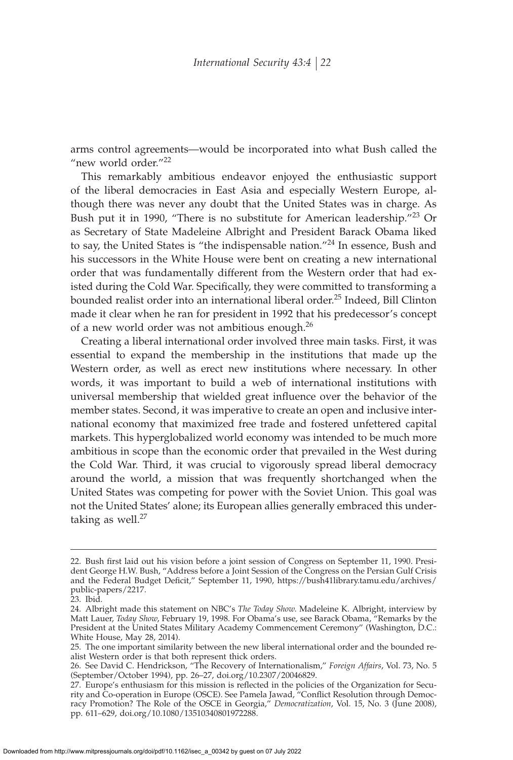arms control agreements—would be incorporated into what Bush called the "new world order."<sup>22</sup>

This remarkably ambitious endeavor enjoyed the enthusiastic support of the liberal democracies in East Asia and especially Western Europe, although there was never any doubt that the United States was in charge. As Bush put it in 1990, "There is no substitute for American leadership."<sup>23</sup> Or as Secretary of State Madeleine Albright and President Barack Obama liked to say, the United States is "the indispensable nation."<sup>24</sup> In essence, Bush and his successors in the White House were bent on creating a new international order that was fundamentally different from the Western order that had existed during the Cold War. Specifically, they were committed to transforming a bounded realist order into an international liberal order.<sup>25</sup> Indeed, Bill Clinton made it clear when he ran for president in 1992 that his predecessor's concept of a new world order was not ambitious enough.<sup>26</sup>

Creating a liberal international order involved three main tasks. First, it was essential to expand the membership in the institutions that made up the Western order, as well as erect new institutions where necessary. In other words, it was important to build a web of international institutions with universal membership that wielded great influence over the behavior of the member states. Second, it was imperative to create an open and inclusive international economy that maximized free trade and fostered unfettered capital markets. This hyperglobalized world economy was intended to be much more ambitious in scope than the economic order that prevailed in the West during the Cold War. Third, it was crucial to vigorously spread liberal democracy around the world, a mission that was frequently shortchanged when the United States was competing for power with the Soviet Union. This goal was not the United States' alone; its European allies generally embraced this undertaking as well. $27$ 

<sup>22.</sup> Bush first laid out his vision before a joint session of Congress on September 11, 1990. President George H.W. Bush, "Address before a Joint Session of the Congress on the Persian Gulf Crisis and the Federal Budget Deficit," September 11, 1990, https://bush41library.tamu.edu/archives/ public-papers/2217.

<sup>23.</sup> Ibid.

<sup>24.</sup> Albright made this statement on NBC's *The Today Show*. Madeleine K. Albright, interview by Matt Lauer, *Today Show*, February 19, 1998. For Obama's use, see Barack Obama, "Remarks by the President at the United States Military Academy Commencement Ceremony" (Washington, D.C.: White House, May 28, 2014).

<sup>25.</sup> The one important similarity between the new liberal international order and the bounded realist Western order is that both represent thick orders.

<sup>26.</sup> See David C. Hendrickson, "The Recovery of Internationalism," *Foreign Affairs*, Vol. 73, No. 5 (September/October 1994), pp. 26–27, doi.org/10.2307/20046829.

<sup>27.</sup> Europe's enthusiasm for this mission is reflected in the policies of the Organization for Security and Co-operation in Europe (OSCE). See Pamela Jawad, "Conflict Resolution through Democracy Promotion? The Role of the OSCE in Georgia," *Democratization*, Vol. 15, No. 3 (June 2008), pp. 611–629, doi.org/10.1080/13510340801972288.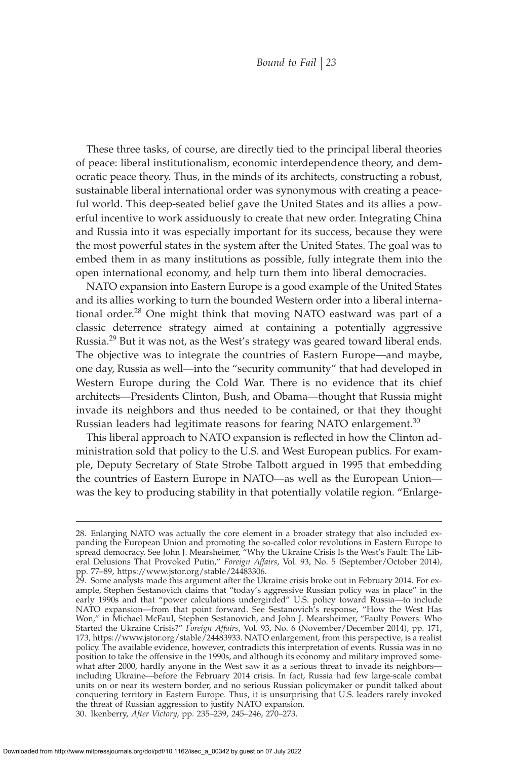These three tasks, of course, are directly tied to the principal liberal theories of peace: liberal institutionalism, economic interdependence theory, and democratic peace theory. Thus, in the minds of its architects, constructing a robust, sustainable liberal international order was synonymous with creating a peaceful world. This deep-seated belief gave the United States and its allies a powerful incentive to work assiduously to create that new order. Integrating China and Russia into it was especially important for its success, because they were the most powerful states in the system after the United States. The goal was to embed them in as many institutions as possible, fully integrate them into the open international economy, and help turn them into liberal democracies.

NATO expansion into Eastern Europe is a good example of the United States and its allies working to turn the bounded Western order into a liberal international order.<sup>28</sup> One might think that moving NATO eastward was part of a classic deterrence strategy aimed at containing a potentially aggressive Russia.<sup>29</sup> But it was not, as the West's strategy was geared toward liberal ends. The objective was to integrate the countries of Eastern Europe—and maybe, one day, Russia as well—into the "security community" that had developed in Western Europe during the Cold War. There is no evidence that its chief architects—Presidents Clinton, Bush, and Obama—thought that Russia might invade its neighbors and thus needed to be contained, or that they thought Russian leaders had legitimate reasons for fearing NATO enlargement.<sup>30</sup>

This liberal approach to NATO expansion is reflected in how the Clinton administration sold that policy to the U.S. and West European publics. For example, Deputy Secretary of State Strobe Talbott argued in 1995 that embedding the countries of Eastern Europe in NATO—as well as the European Union was the key to producing stability in that potentially volatile region. "Enlarge-

<sup>28.</sup> Enlarging NATO was actually the core element in a broader strategy that also included expanding the European Union and promoting the so-called color revolutions in Eastern Europe to spread democracy. See John J. Mearsheimer, "Why the Ukraine Crisis Is the West's Fault: The Liberal Delusions That Provoked Putin," *Foreign Affairs*, Vol. 93, No. 5 (September/October 2014), pp. 77–89, https://www.jstor.org/stable/24483306.

<sup>29.</sup> Some analysts made this argument after the Ukraine crisis broke out in February 2014. For example, Stephen Sestanovich claims that "today's aggressive Russian policy was in place" in the early 1990s and that "power calculations undergirded" U.S. policy toward Russia—to include NATO expansion—from that point forward. See Sestanovich's response, "How the West Has Won," in Michael McFaul, Stephen Sestanovich, and John J. Mearsheimer, "Faulty Powers: Who Started the Ukraine Crisis?" *Foreign Affairs*, Vol. 93, No. 6 (November/December 2014), pp. 171, 173, https://www.jstor.org/stable/24483933. NATO enlargement, from this perspective, is a realist policy. The available evidence, however, contradicts this interpretation of events. Russia was in no position to take the offensive in the 1990s, and although its economy and military improved somewhat after 2000, hardly anyone in the West saw it as a serious threat to invade its neighbors including Ukraine—before the February 2014 crisis. In fact, Russia had few large-scale combat units on or near its western border, and no serious Russian policymaker or pundit talked about conquering territory in Eastern Europe. Thus, it is unsurprising that U.S. leaders rarely invoked the threat of Russian aggression to justify NATO expansion.

<sup>30.</sup> Ikenberry, *After Victory*, pp. 235–239, 245–246, 270–273.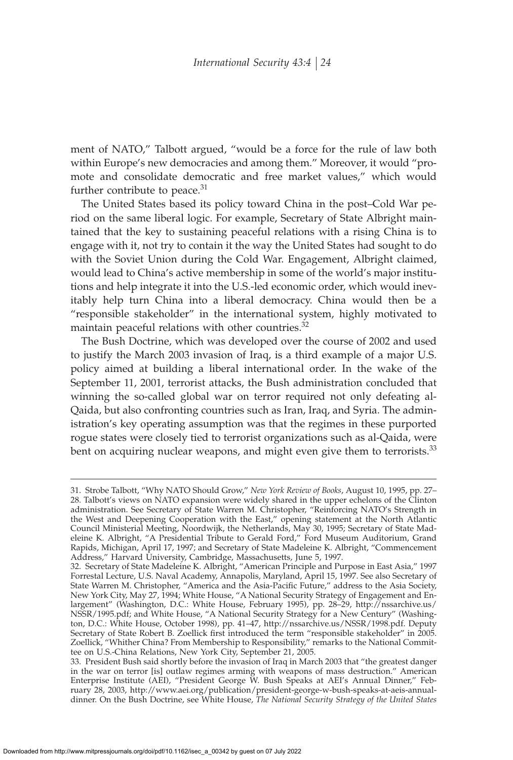ment of NATO," Talbott argued, "would be a force for the rule of law both within Europe's new democracies and among them." Moreover, it would "promote and consolidate democratic and free market values," which would further contribute to peace. $31$ 

The United States based its policy toward China in the post–Cold War period on the same liberal logic. For example, Secretary of State Albright maintained that the key to sustaining peaceful relations with a rising China is to engage with it, not try to contain it the way the United States had sought to do with the Soviet Union during the Cold War. Engagement, Albright claimed, would lead to China's active membership in some of the world's major institutions and help integrate it into the U.S.-led economic order, which would inevitably help turn China into a liberal democracy. China would then be a "responsible stakeholder" in the international system, highly motivated to maintain peaceful relations with other countries.<sup>32</sup>

The Bush Doctrine, which was developed over the course of 2002 and used to justify the March 2003 invasion of Iraq, is a third example of a major U.S. policy aimed at building a liberal international order. In the wake of the September 11, 2001, terrorist attacks, the Bush administration concluded that winning the so-called global war on terror required not only defeating al-Qaida, but also confronting countries such as Iran, Iraq, and Syria. The administration's key operating assumption was that the regimes in these purported rogue states were closely tied to terrorist organizations such as al-Qaida, were bent on acquiring nuclear weapons, and might even give them to terrorists. $33$ 

<sup>31.</sup> Strobe Talbott, "Why NATO Should Grow," *New York Review of Books*, August 10, 1995, pp. 27– 28. Talbott's views on NATO expansion were widely shared in the upper echelons of the Clinton administration. See Secretary of State Warren M. Christopher, "Reinforcing NATO's Strength in the West and Deepening Cooperation with the East," opening statement at the North Atlantic Council Ministerial Meeting, Noordwijk, the Netherlands, May 30, 1995; Secretary of State Madeleine K. Albright, "A Presidential Tribute to Gerald Ford," Ford Museum Auditorium, Grand Rapids, Michigan, April 17, 1997; and Secretary of State Madeleine K. Albright, "Commencement Address," Harvard University, Cambridge, Massachusetts, June 5, 1997.

<sup>32.</sup> Secretary of State Madeleine K. Albright, "American Principle and Purpose in East Asia," 1997 Forrestal Lecture, U.S. Naval Academy, Annapolis, Maryland, April 15, 1997. See also Secretary of State Warren M. Christopher, "America and the Asia-Pacific Future," address to the Asia Society, New York City, May 27, 1994; White House, "A National Security Strategy of Engagement and Enlargement" (Washington, D.C.: White House, February 1995), pp. 28–29, http://nssarchive.us/ NSSR/1995.pdf; and White House, "A National Security Strategy for a New Century" (Washington, D.C.: White House, October 1998), pp. 41–47, http://nssarchive.us/NSSR/1998.pdf. Deputy Secretary of State Robert B. Zoellick first introduced the term "responsible stakeholder" in 2005. Zoellick, "Whither China? From Membership to Responsibility," remarks to the National Committee on U.S.-China Relations, New York City, September 21, 2005.

<sup>33.</sup> President Bush said shortly before the invasion of Iraq in March 2003 that "the greatest danger in the war on terror [is] outlaw regimes arming with weapons of mass destruction." American Enterprise Institute (AEI), "President George W. Bush Speaks at AEI's Annual Dinner," February 28, 2003, http://www.aei.org/publication/president-george-w-bush-speaks-at-aeis-annualdinner. On the Bush Doctrine, see White House, *The National Security Strategy of the United States*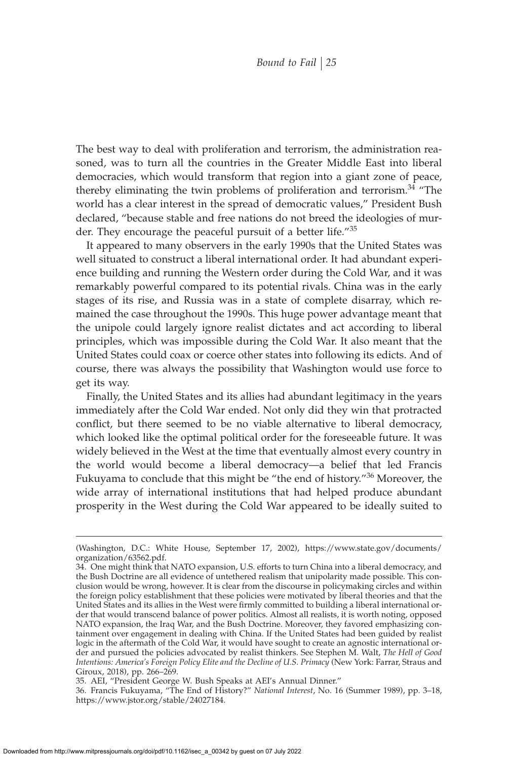The best way to deal with proliferation and terrorism, the administration reasoned, was to turn all the countries in the Greater Middle East into liberal democracies, which would transform that region into a giant zone of peace, thereby eliminating the twin problems of proliferation and terrorism.<sup>34</sup> "The world has a clear interest in the spread of democratic values," President Bush declared, "because stable and free nations do not breed the ideologies of murder. They encourage the peaceful pursuit of a better life."<sup>35</sup>

It appeared to many observers in the early 1990s that the United States was well situated to construct a liberal international order. It had abundant experience building and running the Western order during the Cold War, and it was remarkably powerful compared to its potential rivals. China was in the early stages of its rise, and Russia was in a state of complete disarray, which remained the case throughout the 1990s. This huge power advantage meant that the unipole could largely ignore realist dictates and act according to liberal principles, which was impossible during the Cold War. It also meant that the United States could coax or coerce other states into following its edicts. And of course, there was always the possibility that Washington would use force to get its way.

Finally, the United States and its allies had abundant legitimacy in the years immediately after the Cold War ended. Not only did they win that protracted conflict, but there seemed to be no viable alternative to liberal democracy, which looked like the optimal political order for the foreseeable future. It was widely believed in the West at the time that eventually almost every country in the world would become a liberal democracy—a belief that led Francis Fukuyama to conclude that this might be "the end of history."<sup>36</sup> Moreover, the wide array of international institutions that had helped produce abundant prosperity in the West during the Cold War appeared to be ideally suited to

<sup>(</sup>Washington, D.C.: White House, September 17, 2002), https://www.state.gov/documents/ organization/63562.pdf.

<sup>34.</sup> One might think that NATO expansion, U.S. efforts to turn China into a liberal democracy, and the Bush Doctrine are all evidence of untethered realism that unipolarity made possible. This conclusion would be wrong, however. It is clear from the discourse in policymaking circles and within the foreign policy establishment that these policies were motivated by liberal theories and that the United States and its allies in the West were firmly committed to building a liberal international order that would transcend balance of power politics. Almost all realists, it is worth noting, opposed NATO expansion, the Iraq War, and the Bush Doctrine. Moreover, they favored emphasizing containment over engagement in dealing with China. If the United States had been guided by realist logic in the aftermath of the Cold War, it would have sought to create an agnostic international order and pursued the policies advocated by realist thinkers. See Stephen M. Walt, *The Hell of Good Intentions: America's Foreign Policy Elite and the Decline of U.S. Primacy* (New York: Farrar, Straus and Giroux, 2018), pp. 266–269.

<sup>35.</sup> AEI, "President George W. Bush Speaks at AEI's Annual Dinner."

<sup>36.</sup> Francis Fukuyama, "The End of History?" *National Interest*, No. 16 (Summer 1989), pp. 3–18, https://www.jstor.org/stable/24027184.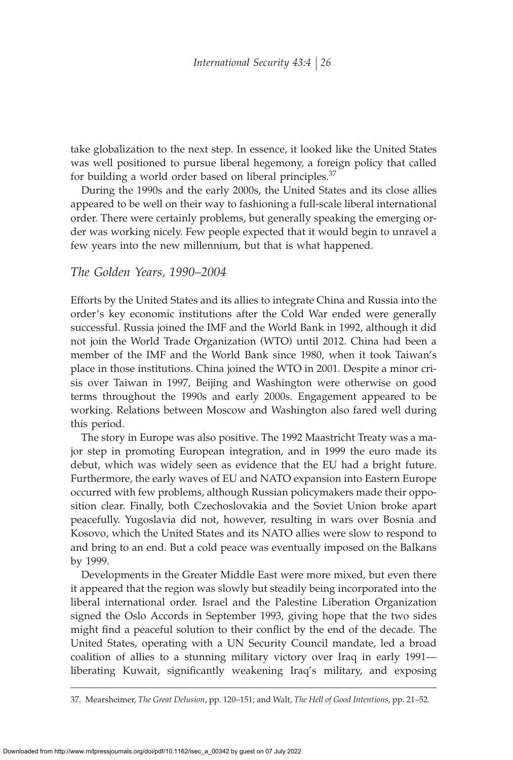take globalization to the next step. In essence, it looked like the United States was well positioned to pursue liberal hegemony, a foreign policy that called for building a world order based on liberal principles.<sup>37</sup>

During the 1990s and the early 2000s, the United States and its close allies appeared to be well on their way to fashioning a full-scale liberal international order. There were certainly problems, but generally speaking the emerging order was working nicely. Few people expected that it would begin to unravel a few years into the new millennium, but that is what happened.

## *The Golden Years, 1990–2004*

Efforts by the United States and its allies to integrate China and Russia into the order's key economic institutions after the Cold War ended were generally successful. Russia joined the IMF and the World Bank in 1992, although it did not join the World Trade Organization (WTO) until 2012. China had been a member of the IMF and the World Bank since 1980, when it took Taiwan's place in those institutions. China joined the WTO in 2001. Despite a minor crisis over Taiwan in 1997, Beijing and Washington were otherwise on good terms throughout the 1990s and early 2000s. Engagement appeared to be working. Relations between Moscow and Washington also fared well during this period.

The story in Europe was also positive. The 1992 Maastricht Treaty was a major step in promoting European integration, and in 1999 the euro made its debut, which was widely seen as evidence that the EU had a bright future. Furthermore, the early waves of EU and NATO expansion into Eastern Europe occurred with few problems, although Russian policymakers made their opposition clear. Finally, both Czechoslovakia and the Soviet Union broke apart peacefully. Yugoslavia did not, however, resulting in wars over Bosnia and Kosovo, which the United States and its NATO allies were slow to respond to and bring to an end. But a cold peace was eventually imposed on the Balkans by 1999.

Developments in the Greater Middle East were more mixed, but even there it appeared that the region was slowly but steadily being incorporated into the liberal international order. Israel and the Palestine Liberation Organization signed the Oslo Accords in September 1993, giving hope that the two sides might find a peaceful solution to their conflict by the end of the decade. The United States, operating with a UN Security Council mandate, led a broad coalition of allies to a stunning military victory over Iraq in early 1991 liberating Kuwait, significantly weakening Iraq's military, and exposing

<sup>37.</sup> Mearsheimer, *The Great Delusion*, pp. 120–151; and Walt, *The Hell of Good Intentions*, pp. 21–52.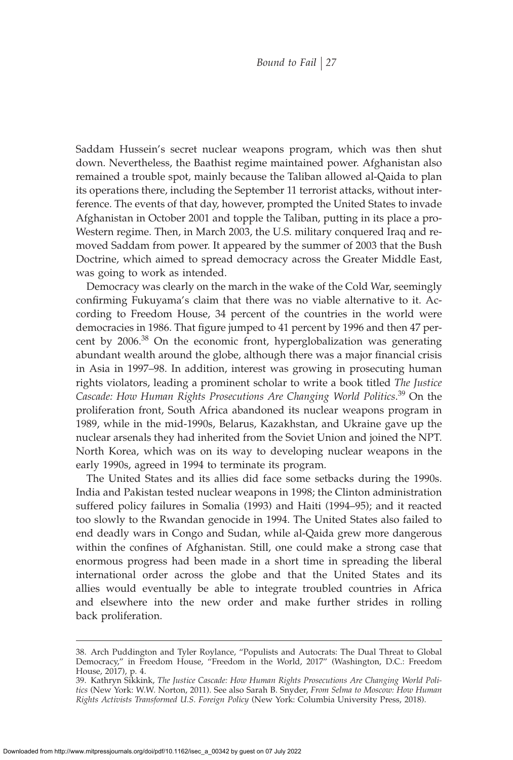Saddam Hussein's secret nuclear weapons program, which was then shut down. Nevertheless, the Baathist regime maintained power. Afghanistan also remained a trouble spot, mainly because the Taliban allowed al-Qaida to plan its operations there, including the September 11 terrorist attacks, without interference. The events of that day, however, prompted the United States to invade Afghanistan in October 2001 and topple the Taliban, putting in its place a pro-Western regime. Then, in March 2003, the U.S. military conquered Iraq and removed Saddam from power. It appeared by the summer of 2003 that the Bush Doctrine, which aimed to spread democracy across the Greater Middle East, was going to work as intended.

Democracy was clearly on the march in the wake of the Cold War, seemingly confirming Fukuyama's claim that there was no viable alternative to it. According to Freedom House, 34 percent of the countries in the world were democracies in 1986. That figure jumped to 41 percent by 1996 and then 47 percent by 2006.<sup>38</sup> On the economic front, hyperglobalization was generating abundant wealth around the globe, although there was a major financial crisis in Asia in 1997–98. In addition, interest was growing in prosecuting human rights violators, leading a prominent scholar to write a book titled *The Justice Cascade: How Human Rights Prosecutions Are Changing World Politics*. <sup>39</sup> On the proliferation front, South Africa abandoned its nuclear weapons program in 1989, while in the mid-1990s, Belarus, Kazakhstan, and Ukraine gave up the nuclear arsenals they had inherited from the Soviet Union and joined the NPT. North Korea, which was on its way to developing nuclear weapons in the early 1990s, agreed in 1994 to terminate its program.

The United States and its allies did face some setbacks during the 1990s. India and Pakistan tested nuclear weapons in 1998; the Clinton administration suffered policy failures in Somalia (1993) and Haiti (1994–95); and it reacted too slowly to the Rwandan genocide in 1994. The United States also failed to end deadly wars in Congo and Sudan, while al-Qaida grew more dangerous within the confines of Afghanistan. Still, one could make a strong case that enormous progress had been made in a short time in spreading the liberal international order across the globe and that the United States and its allies would eventually be able to integrate troubled countries in Africa and elsewhere into the new order and make further strides in rolling back proliferation.

<sup>38.</sup> Arch Puddington and Tyler Roylance, "Populists and Autocrats: The Dual Threat to Global Democracy," in Freedom House, "Freedom in the World, 2017" (Washington, D.C.: Freedom House, 2017), p. 4.

<sup>39.</sup> Kathryn Sikkink, *The Justice Cascade: How Human Rights Prosecutions Are Changing World Politics* (New York: W.W. Norton, 2011). See also Sarah B. Snyder, *From Selma to Moscow: How Human Rights Activists Transformed U.S. Foreign Policy* (New York: Columbia University Press, 2018).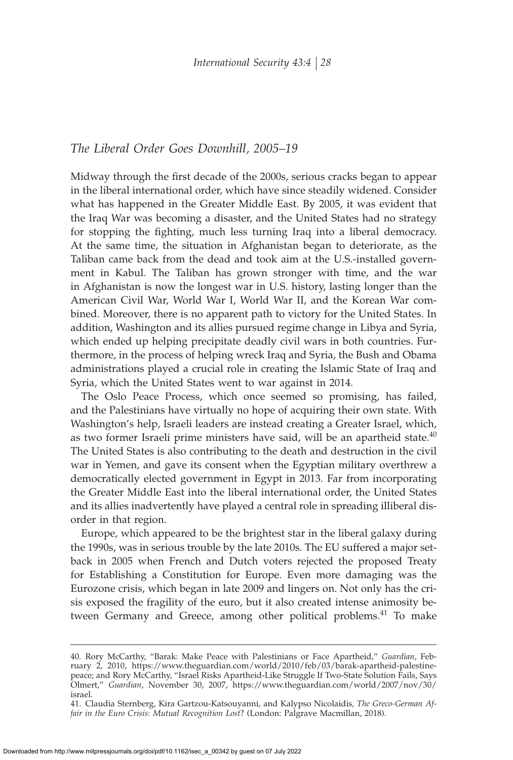# *The Liberal Order Goes Downhill, 2005–19*

Midway through the first decade of the 2000s, serious cracks began to appear in the liberal international order, which have since steadily widened. Consider what has happened in the Greater Middle East. By 2005, it was evident that the Iraq War was becoming a disaster, and the United States had no strategy for stopping the fighting, much less turning Iraq into a liberal democracy. At the same time, the situation in Afghanistan began to deteriorate, as the Taliban came back from the dead and took aim at the U.S.-installed government in Kabul. The Taliban has grown stronger with time, and the war in Afghanistan is now the longest war in U.S. history, lasting longer than the American Civil War, World War I, World War II, and the Korean War combined. Moreover, there is no apparent path to victory for the United States. In addition, Washington and its allies pursued regime change in Libya and Syria, which ended up helping precipitate deadly civil wars in both countries. Furthermore, in the process of helping wreck Iraq and Syria, the Bush and Obama administrations played a crucial role in creating the Islamic State of Iraq and Syria, which the United States went to war against in 2014.

The Oslo Peace Process, which once seemed so promising, has failed, and the Palestinians have virtually no hope of acquiring their own state. With Washington's help, Israeli leaders are instead creating a Greater Israel, which, as two former Israeli prime ministers have said, will be an apartheid state. $40$ The United States is also contributing to the death and destruction in the civil war in Yemen, and gave its consent when the Egyptian military overthrew a democratically elected government in Egypt in 2013. Far from incorporating the Greater Middle East into the liberal international order, the United States and its allies inadvertently have played a central role in spreading illiberal disorder in that region.

Europe, which appeared to be the brightest star in the liberal galaxy during the 1990s, was in serious trouble by the late 2010s. The EU suffered a major setback in 2005 when French and Dutch voters rejected the proposed Treaty for Establishing a Constitution for Europe. Even more damaging was the Eurozone crisis, which began in late 2009 and lingers on. Not only has the crisis exposed the fragility of the euro, but it also created intense animosity between Germany and Greece, among other political problems.<sup>41</sup> To make

<sup>40.</sup> Rory McCarthy, "Barak: Make Peace with Palestinians or Face Apartheid," *Guardian*, February 2, 2010, https://www.theguardian.com/world/2010/feb/03/barak-apartheid-palestinepeace; and Rory McCarthy, "Israel Risks Apartheid-Like Struggle If Two-State Solution Fails, Says Olmert," *Guardian*, November 30, 2007, https://www.theguardian.com/world/2007/nov/30/ israel.

<sup>41.</sup> Claudia Sternberg, Kira Gartzou-Katsouyanni, and Kalypso Nicolaidis, *The Greco-German Affair in the Euro Crisis: Mutual Recognition Lost*? (London: Palgrave Macmillan, 2018).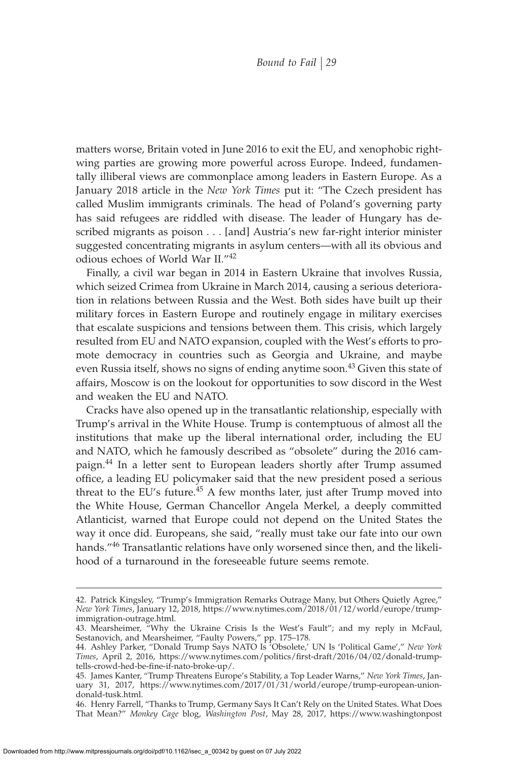matters worse, Britain voted in June 2016 to exit the EU, and xenophobic rightwing parties are growing more powerful across Europe. Indeed, fundamentally illiberal views are commonplace among leaders in Eastern Europe. As a January 2018 article in the *New York Times* put it: "The Czech president has called Muslim immigrants criminals. The head of Poland's governing party has said refugees are riddled with disease. The leader of Hungary has described migrants as poison... [and] Austria's new far-right interior minister suggested concentrating migrants in asylum centers—with all its obvious and odious echoes of World War II."<sup>42</sup>

Finally, a civil war began in 2014 in Eastern Ukraine that involves Russia, which seized Crimea from Ukraine in March 2014, causing a serious deterioration in relations between Russia and the West. Both sides have built up their military forces in Eastern Europe and routinely engage in military exercises that escalate suspicions and tensions between them. This crisis, which largely resulted from EU and NATO expansion, coupled with the West's efforts to promote democracy in countries such as Georgia and Ukraine, and maybe even Russia itself, shows no signs of ending anytime soon.<sup>43</sup> Given this state of affairs, Moscow is on the lookout for opportunities to sow discord in the West and weaken the EU and NATO.

Cracks have also opened up in the transatlantic relationship, especially with Trump's arrival in the White House. Trump is contemptuous of almost all the institutions that make up the liberal international order, including the EU and NATO, which he famously described as "obsolete" during the 2016 campaign.<sup>44</sup> In a letter sent to European leaders shortly after Trump assumed office, a leading EU policymaker said that the new president posed a serious threat to the EU's future.<sup>45</sup> A few months later, just after Trump moved into the White House, German Chancellor Angela Merkel, a deeply committed Atlanticist, warned that Europe could not depend on the United States the way it once did. Europeans, she said, "really must take our fate into our own hands."<sup>46</sup> Transatlantic relations have only worsened since then, and the likelihood of a turnaround in the foreseeable future seems remote.

<sup>42.</sup> Patrick Kingsley, "Trump's Immigration Remarks Outrage Many, but Others Quietly Agree," *New York Times*, January 12, 2018, https://www.nytimes.com/2018/01/12/world/europe/trumpimmigration-outrage.html.

<sup>43.</sup> Mearsheimer, "Why the Ukraine Crisis Is the West's Fault"; and my reply in McFaul, Sestanovich, and Mearsheimer, "Faulty Powers," pp. 175–178.

<sup>44.</sup> Ashley Parker, "Donald Trump Says NATO Is 'Obsolete,' UN Is 'Political Game'," *New York Times*, April 2, 2016, https://www.nytimes.com/politics/ªrst-draft/2016/04/02/donald-trumptells-crowd-hed-be-fine-if-nato-broke-up/.

<sup>45.</sup> James Kanter, "Trump Threatens Europe's Stability, a Top Leader Warns," *New York Times*, January 31, 2017, https://www.nytimes.com/2017/01/31/world/europe/trump-european-uniondonald-tusk.html.

<sup>46.</sup> Henry Farrell, "Thanks to Trump, Germany Says It Can't Rely on the United States. What Does That Mean?" *Monkey Cage* blog, *Washington Post*, May 28, 2017, https://www.washingtonpost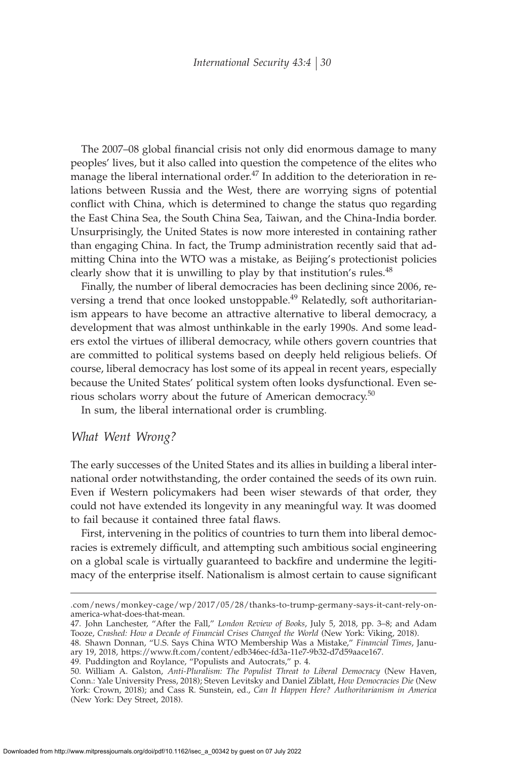The 2007–08 global financial crisis not only did enormous damage to many peoples' lives, but it also called into question the competence of the elites who manage the liberal international order.<sup>47</sup> In addition to the deterioration in relations between Russia and the West, there are worrying signs of potential conflict with China, which is determined to change the status quo regarding the East China Sea, the South China Sea, Taiwan, and the China-India border. Unsurprisingly, the United States is now more interested in containing rather than engaging China. In fact, the Trump administration recently said that admitting China into the WTO was a mistake, as Beijing's protectionist policies clearly show that it is unwilling to play by that institution's rules.<sup>48</sup>

Finally, the number of liberal democracies has been declining since 2006, reversing a trend that once looked unstoppable.<sup>49</sup> Relatedly, soft authoritarianism appears to have become an attractive alternative to liberal democracy, a development that was almost unthinkable in the early 1990s. And some leaders extol the virtues of illiberal democracy, while others govern countries that are committed to political systems based on deeply held religious beliefs. Of course, liberal democracy has lost some of its appeal in recent years, especially because the United States' political system often looks dysfunctional. Even serious scholars worry about the future of American democracy.<sup>50</sup>

In sum, the liberal international order is crumbling.

#### *What Went Wrong?*

The early successes of the United States and its allies in building a liberal international order notwithstanding, the order contained the seeds of its own ruin. Even if Western policymakers had been wiser stewards of that order, they could not have extended its longevity in any meaningful way. It was doomed to fail because it contained three fatal flaws.

First, intervening in the politics of countries to turn them into liberal democracies is extremely difficult, and attempting such ambitious social engineering on a global scale is virtually guaranteed to backfire and undermine the legitimacy of the enterprise itself. Nationalism is almost certain to cause significant

<sup>.</sup>com/news/monkey-cage/wp/2017/05/28/thanks-to-trump-germany-says-it-cant-rely-onamerica-what-does-that-mean.

<sup>47.</sup> John Lanchester, "After the Fall," *London Review of Books*, July 5, 2018, pp. 3–8; and Adam Tooze, *Crashed: How a Decade of Financial Crises Changed the World* (New York: Viking, 2018).

<sup>48.</sup> Shawn Donnan, "U.S. Says China WTO Membership Was a Mistake," *Financial Times*, January 19, 2018, https://www.ft.com/content/edb346ec-fd3a-11e7-9b32-d7d59aace167.

<sup>49.</sup> Puddington and Roylance, "Populists and Autocrats," p. 4.

<sup>50.</sup> William A. Galston, *Anti-Pluralism: The Populist Threat to Liberal Democracy* (New Haven, Conn.: Yale University Press, 2018); Steven Levitsky and Daniel Ziblatt, *How Democracies Die* (New York: Crown, 2018); and Cass R. Sunstein, ed., *Can It Happen Here? Authoritarianism in America* (New York: Dey Street, 2018).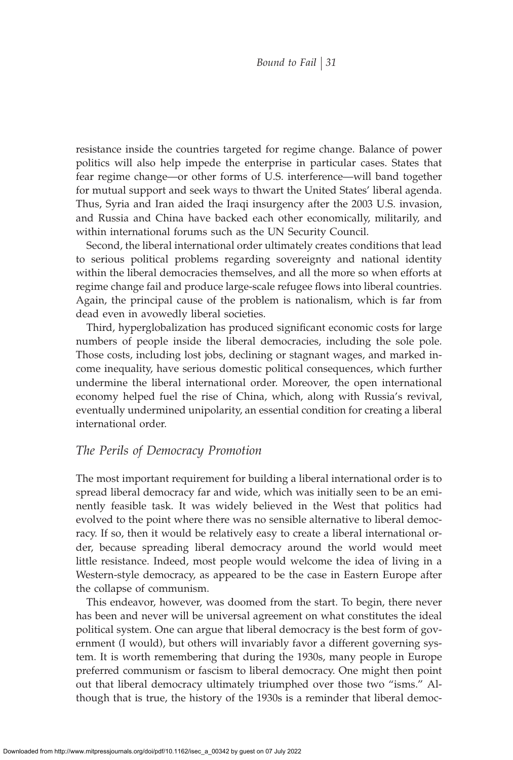resistance inside the countries targeted for regime change. Balance of power politics will also help impede the enterprise in particular cases. States that fear regime change—or other forms of U.S. interference—will band together for mutual support and seek ways to thwart the United States' liberal agenda. Thus, Syria and Iran aided the Iraqi insurgency after the 2003 U.S. invasion, and Russia and China have backed each other economically, militarily, and within international forums such as the UN Security Council.

Second, the liberal international order ultimately creates conditions that lead to serious political problems regarding sovereignty and national identity within the liberal democracies themselves, and all the more so when efforts at regime change fail and produce large-scale refugee flows into liberal countries. Again, the principal cause of the problem is nationalism, which is far from dead even in avowedly liberal societies.

Third, hyperglobalization has produced significant economic costs for large numbers of people inside the liberal democracies, including the sole pole. Those costs, including lost jobs, declining or stagnant wages, and marked income inequality, have serious domestic political consequences, which further undermine the liberal international order. Moreover, the open international economy helped fuel the rise of China, which, along with Russia's revival, eventually undermined unipolarity, an essential condition for creating a liberal international order.

# *The Perils of Democracy Promotion*

The most important requirement for building a liberal international order is to spread liberal democracy far and wide, which was initially seen to be an eminently feasible task. It was widely believed in the West that politics had evolved to the point where there was no sensible alternative to liberal democracy. If so, then it would be relatively easy to create a liberal international order, because spreading liberal democracy around the world would meet little resistance. Indeed, most people would welcome the idea of living in a Western-style democracy, as appeared to be the case in Eastern Europe after the collapse of communism.

This endeavor, however, was doomed from the start. To begin, there never has been and never will be universal agreement on what constitutes the ideal political system. One can argue that liberal democracy is the best form of government (I would), but others will invariably favor a different governing system. It is worth remembering that during the 1930s, many people in Europe preferred communism or fascism to liberal democracy. One might then point out that liberal democracy ultimately triumphed over those two "isms." Although that is true, the history of the 1930s is a reminder that liberal democ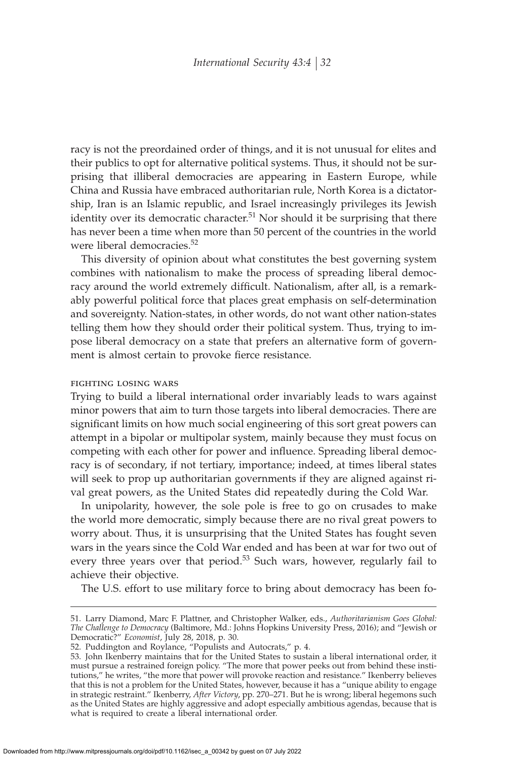racy is not the preordained order of things, and it is not unusual for elites and their publics to opt for alternative political systems. Thus, it should not be surprising that illiberal democracies are appearing in Eastern Europe, while China and Russia have embraced authoritarian rule, North Korea is a dictatorship, Iran is an Islamic republic, and Israel increasingly privileges its Jewish identity over its democratic character.<sup>51</sup> Nor should it be surprising that there has never been a time when more than 50 percent of the countries in the world were liberal democracies.<sup>52</sup>

This diversity of opinion about what constitutes the best governing system combines with nationalism to make the process of spreading liberal democracy around the world extremely difficult. Nationalism, after all, is a remarkably powerful political force that places great emphasis on self-determination and sovereignty. Nation-states, in other words, do not want other nation-states telling them how they should order their political system. Thus, trying to impose liberal democracy on a state that prefers an alternative form of government is almost certain to provoke fierce resistance.

#### FIGHTING LOSING WARS

Trying to build a liberal international order invariably leads to wars against minor powers that aim to turn those targets into liberal democracies. There are significant limits on how much social engineering of this sort great powers can attempt in a bipolar or multipolar system, mainly because they must focus on competing with each other for power and influence. Spreading liberal democracy is of secondary, if not tertiary, importance; indeed, at times liberal states will seek to prop up authoritarian governments if they are aligned against rival great powers, as the United States did repeatedly during the Cold War.

In unipolarity, however, the sole pole is free to go on crusades to make the world more democratic, simply because there are no rival great powers to worry about. Thus, it is unsurprising that the United States has fought seven wars in the years since the Cold War ended and has been at war for two out of every three years over that period.<sup>53</sup> Such wars, however, regularly fail to achieve their objective.

The U.S. effort to use military force to bring about democracy has been fo-

<sup>51.</sup> Larry Diamond, Marc F. Plattner, and Christopher Walker, eds., *Authoritarianism Goes Global: The Challenge to Democracy* (Baltimore, Md.: Johns Hopkins University Press, 2016); and "Jewish or Democratic?" *Economist*, July 28, 2018, p. 30.

<sup>52.</sup> Puddington and Roylance, "Populists and Autocrats," p. 4.

<sup>53.</sup> John Ikenberry maintains that for the United States to sustain a liberal international order, it must pursue a restrained foreign policy. "The more that power peeks out from behind these institutions," he writes, "the more that power will provoke reaction and resistance." Ikenberry believes that this is not a problem for the United States, however, because it has a "unique ability to engage in strategic restraint." Ikenberry, *After Victory*, pp. 270–271. But he is wrong; liberal hegemons such as the United States are highly aggressive and adopt especially ambitious agendas, because that is what is required to create a liberal international order.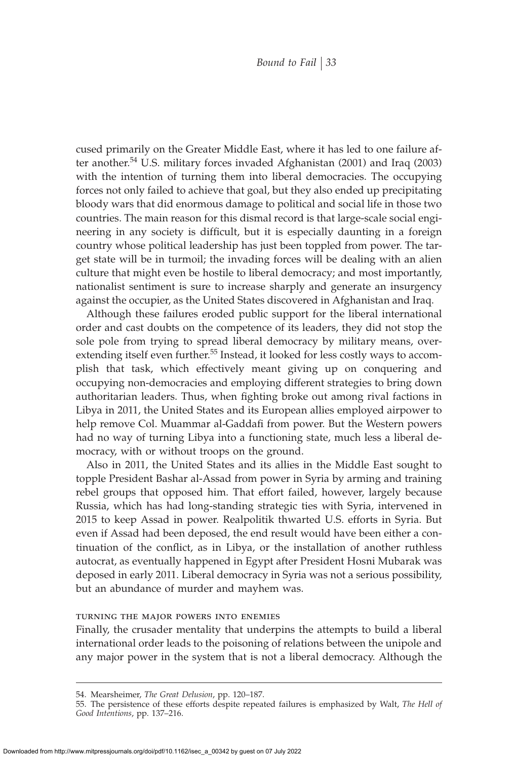cused primarily on the Greater Middle East, where it has led to one failure after another.<sup>54</sup> U.S. military forces invaded Afghanistan  $(2001)$  and Iraq  $(2003)$ with the intention of turning them into liberal democracies. The occupying forces not only failed to achieve that goal, but they also ended up precipitating bloody wars that did enormous damage to political and social life in those two countries. The main reason for this dismal record is that large-scale social engineering in any society is difficult, but it is especially daunting in a foreign country whose political leadership has just been toppled from power. The target state will be in turmoil; the invading forces will be dealing with an alien culture that might even be hostile to liberal democracy; and most importantly, nationalist sentiment is sure to increase sharply and generate an insurgency against the occupier, as the United States discovered in Afghanistan and Iraq.

Although these failures eroded public support for the liberal international order and cast doubts on the competence of its leaders, they did not stop the sole pole from trying to spread liberal democracy by military means, overextending itself even further.<sup>55</sup> Instead, it looked for less costly ways to accomplish that task, which effectively meant giving up on conquering and occupying non-democracies and employing different strategies to bring down authoritarian leaders. Thus, when fighting broke out among rival factions in Libya in 2011, the United States and its European allies employed airpower to help remove Col. Muammar al-Gaddafi from power. But the Western powers had no way of turning Libya into a functioning state, much less a liberal democracy, with or without troops on the ground.

Also in 2011, the United States and its allies in the Middle East sought to topple President Bashar al-Assad from power in Syria by arming and training rebel groups that opposed him. That effort failed, however, largely because Russia, which has had long-standing strategic ties with Syria, intervened in 2015 to keep Assad in power. Realpolitik thwarted U.S. efforts in Syria. But even if Assad had been deposed, the end result would have been either a continuation of the conflict, as in Libya, or the installation of another ruthless autocrat, as eventually happened in Egypt after President Hosni Mubarak was deposed in early 2011. Liberal democracy in Syria was not a serious possibility, but an abundance of murder and mayhem was.

#### turning the major powers into enemies

Finally, the crusader mentality that underpins the attempts to build a liberal international order leads to the poisoning of relations between the unipole and any major power in the system that is not a liberal democracy. Although the

<sup>54.</sup> Mearsheimer, *The Great Delusion*, pp. 120–187.

<sup>55.</sup> The persistence of these efforts despite repeated failures is emphasized by Walt, *The Hell of Good Intentions*, pp. 137–216.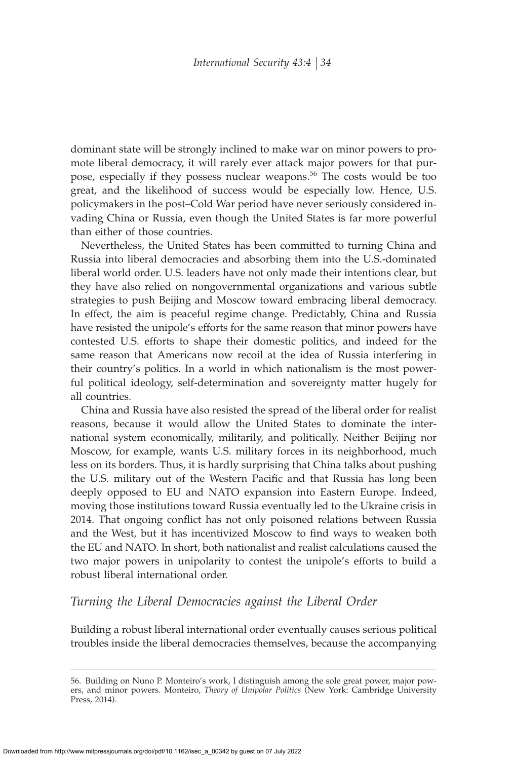dominant state will be strongly inclined to make war on minor powers to promote liberal democracy, it will rarely ever attack major powers for that purpose, especially if they possess nuclear weapons.<sup>56</sup> The costs would be too great, and the likelihood of success would be especially low. Hence, U.S. policymakers in the post–Cold War period have never seriously considered invading China or Russia, even though the United States is far more powerful than either of those countries.

Nevertheless, the United States has been committed to turning China and Russia into liberal democracies and absorbing them into the U.S.-dominated liberal world order. U.S. leaders have not only made their intentions clear, but they have also relied on nongovernmental organizations and various subtle strategies to push Beijing and Moscow toward embracing liberal democracy. In effect, the aim is peaceful regime change. Predictably, China and Russia have resisted the unipole's efforts for the same reason that minor powers have contested U.S. efforts to shape their domestic politics, and indeed for the same reason that Americans now recoil at the idea of Russia interfering in their country's politics. In a world in which nationalism is the most powerful political ideology, self-determination and sovereignty matter hugely for all countries.

China and Russia have also resisted the spread of the liberal order for realist reasons, because it would allow the United States to dominate the international system economically, militarily, and politically. Neither Beijing nor Moscow, for example, wants U.S. military forces in its neighborhood, much less on its borders. Thus, it is hardly surprising that China talks about pushing the U.S. military out of the Western Pacific and that Russia has long been deeply opposed to EU and NATO expansion into Eastern Europe. Indeed, moving those institutions toward Russia eventually led to the Ukraine crisis in 2014. That ongoing conflict has not only poisoned relations between Russia and the West, but it has incentivized Moscow to find ways to weaken both the EU and NATO. In short, both nationalist and realist calculations caused the two major powers in unipolarity to contest the unipole's efforts to build a robust liberal international order.

# *Turning the Liberal Democracies against the Liberal Order*

Building a robust liberal international order eventually causes serious political troubles inside the liberal democracies themselves, because the accompanying

<sup>56.</sup> Building on Nuno P. Monteiro's work, I distinguish among the sole great power, major powers, and minor powers. Monteiro, *Theory of Unipolar Politics* (New York: Cambridge University Press, 2014).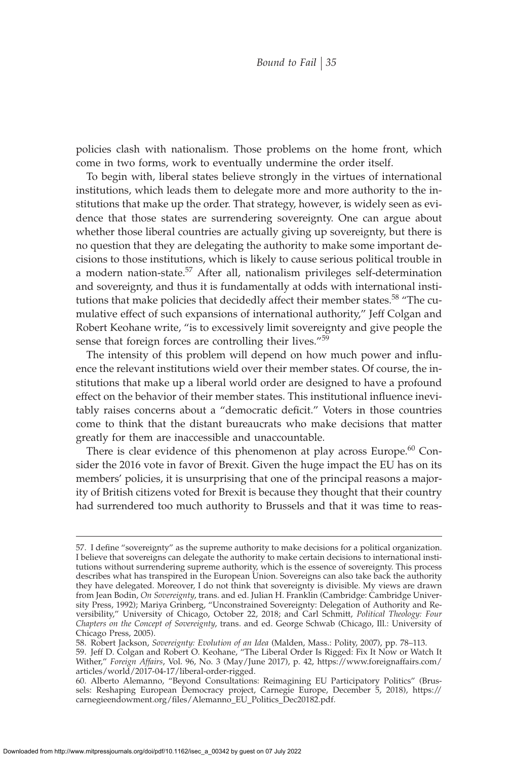policies clash with nationalism. Those problems on the home front, which come in two forms, work to eventually undermine the order itself.

To begin with, liberal states believe strongly in the virtues of international institutions, which leads them to delegate more and more authority to the institutions that make up the order. That strategy, however, is widely seen as evidence that those states are surrendering sovereignty. One can argue about whether those liberal countries are actually giving up sovereignty, but there is no question that they are delegating the authority to make some important decisions to those institutions, which is likely to cause serious political trouble in a modern nation-state.<sup>57</sup> After all, nationalism privileges self-determination and sovereignty, and thus it is fundamentally at odds with international institutions that make policies that decidedly affect their member states.<sup>58</sup> "The cumulative effect of such expansions of international authority," Jeff Colgan and Robert Keohane write, "is to excessively limit sovereignty and give people the sense that foreign forces are controlling their lives."<sup>59</sup>

The intensity of this problem will depend on how much power and influence the relevant institutions wield over their member states. Of course, the institutions that make up a liberal world order are designed to have a profound effect on the behavior of their member states. This institutional influence inevitably raises concerns about a "democratic deficit." Voters in those countries come to think that the distant bureaucrats who make decisions that matter greatly for them are inaccessible and unaccountable.

There is clear evidence of this phenomenon at play across Europe.<sup>60</sup> Consider the 2016 vote in favor of Brexit. Given the huge impact the EU has on its members' policies, it is unsurprising that one of the principal reasons a majority of British citizens voted for Brexit is because they thought that their country had surrendered too much authority to Brussels and that it was time to reas-

<sup>57.</sup> I define "sovereignty" as the supreme authority to make decisions for a political organization. I believe that sovereigns can delegate the authority to make certain decisions to international institutions without surrendering supreme authority, which is the essence of sovereignty. This process describes what has transpired in the European Union. Sovereigns can also take back the authority they have delegated. Moreover, I do not think that sovereignty is divisible. My views are drawn from Jean Bodin, *On Sovereignty*, trans. and ed. Julian H. Franklin (Cambridge: Cambridge University Press, 1992); Mariya Grinberg, "Unconstrained Sovereignty: Delegation of Authority and Reversibility," University of Chicago, October 22, 2018; and Carl Schmitt, *Political Theology: Four Chapters on the Concept of Sovereignty*, trans. and ed. George Schwab (Chicago, Ill.: University of Chicago Press, 2005).

<sup>58.</sup> Robert Jackson, *Sovereignty: Evolution of an Idea* (Malden, Mass.: Polity, 2007), pp. 78–113. 59. Jeff D. Colgan and Robert O. Keohane, "The Liberal Order Is Rigged: Fix It Now or Watch It

Wither," *Foreign Affairs*, Vol. 96, No. 3 (May/June 2017), p. 42, https://www.foreignaffairs.com/ articles/world/2017-04-17/liberal-order-rigged.

<sup>60.</sup> Alberto Alemanno, "Beyond Consultations: Reimagining EU Participatory Politics" (Brussels: Reshaping European Democracy project, Carnegie Europe, December 5, 2018), https:// carnegieendowment.org/files/Alemanno\_EU\_Politics\_Dec20182.pdf.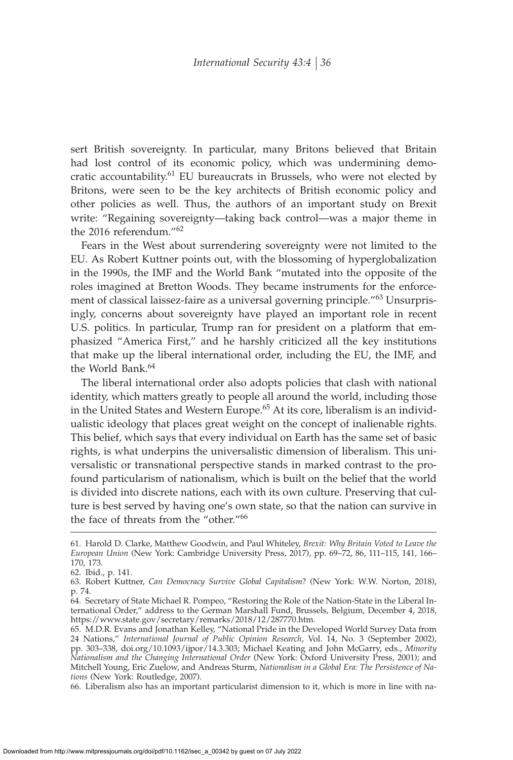sert British sovereignty. In particular, many Britons believed that Britain had lost control of its economic policy, which was undermining democratic accountability. $61$  EU bureaucrats in Brussels, who were not elected by Britons, were seen to be the key architects of British economic policy and other policies as well. Thus, the authors of an important study on Brexit write: "Regaining sovereignty—taking back control—was a major theme in the 2016 referendum."<sup>62</sup>

Fears in the West about surrendering sovereignty were not limited to the EU. As Robert Kuttner points out, with the blossoming of hyperglobalization in the 1990s, the IMF and the World Bank "mutated into the opposite of the roles imagined at Bretton Woods. They became instruments for the enforcement of classical laissez-faire as a universal governing principle."<sup>63</sup> Unsurprisingly, concerns about sovereignty have played an important role in recent U.S. politics. In particular, Trump ran for president on a platform that emphasized "America First," and he harshly criticized all the key institutions that make up the liberal international order, including the EU, the IMF, and the World Bank.<sup>64</sup>

The liberal international order also adopts policies that clash with national identity, which matters greatly to people all around the world, including those in the United States and Western Europe.<sup>65</sup> At its core, liberalism is an individualistic ideology that places great weight on the concept of inalienable rights. This belief, which says that every individual on Earth has the same set of basic rights, is what underpins the universalistic dimension of liberalism. This universalistic or transnational perspective stands in marked contrast to the profound particularism of nationalism, which is built on the belief that the world is divided into discrete nations, each with its own culture. Preserving that culture is best served by having one's own state, so that the nation can survive in the face of threats from the "other."<sup>66</sup>

<sup>61.</sup> Harold D. Clarke, Matthew Goodwin, and Paul Whiteley, *Brexit: Why Britain Voted to Leave the European Union* (New York: Cambridge University Press, 2017), pp. 69–72, 86, 111–115, 141, 166– 170, 173.

<sup>62.</sup> Ibid., p. 141.

<sup>63.</sup> Robert Kuttner, *Can Democracy Survive Global Capitalism*? (New York: W.W. Norton, 2018), p. 74.

<sup>64.</sup> Secretary of State Michael R. Pompeo, "Restoring the Role of the Nation-State in the Liberal International Order," address to the German Marshall Fund, Brussels, Belgium, December 4, 2018, https://www.state.gov/secretary/remarks/2018/12/287770.htm.

<sup>65.</sup> M.D.R. Evans and Jonathan Kelley, "National Pride in the Developed World Survey Data from 24 Nations," *International Journal of Public Opinion Research*, Vol. 14, No. 3 (September 2002), pp. 303–338, doi.org/10.1093/ijpor/14.3.303; Michael Keating and John McGarry, eds., *Minority Nationalism and the Changing International Order* (New York: Oxford University Press, 2001); and Mitchell Young, Eric Zuelow, and Andreas Sturm, *Nationalism in a Global Era: The Persistence of Nations* (New York: Routledge, 2007).

<sup>66.</sup> Liberalism also has an important particularist dimension to it, which is more in line with na-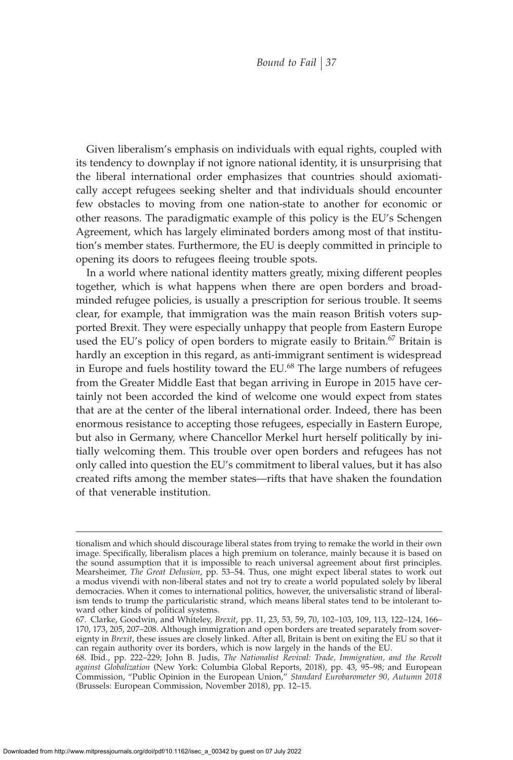Given liberalism's emphasis on individuals with equal rights, coupled with its tendency to downplay if not ignore national identity, it is unsurprising that the liberal international order emphasizes that countries should axiomatically accept refugees seeking shelter and that individuals should encounter few obstacles to moving from one nation-state to another for economic or other reasons. The paradigmatic example of this policy is the EU's Schengen Agreement, which has largely eliminated borders among most of that institution's member states. Furthermore, the EU is deeply committed in principle to opening its doors to refugees fleeing trouble spots.

In a world where national identity matters greatly, mixing different peoples together, which is what happens when there are open borders and broadminded refugee policies, is usually a prescription for serious trouble. It seems clear, for example, that immigration was the main reason British voters supported Brexit. They were especially unhappy that people from Eastern Europe used the EU's policy of open borders to migrate easily to Britain.<sup>67</sup> Britain is hardly an exception in this regard, as anti-immigrant sentiment is widespread in Europe and fuels hostility toward the  $EU^{68}$  The large numbers of refugees from the Greater Middle East that began arriving in Europe in 2015 have certainly not been accorded the kind of welcome one would expect from states that are at the center of the liberal international order. Indeed, there has been enormous resistance to accepting those refugees, especially in Eastern Europe, but also in Germany, where Chancellor Merkel hurt herself politically by initially welcoming them. This trouble over open borders and refugees has not only called into question the EU's commitment to liberal values, but it has also created rifts among the member states—rifts that have shaken the foundation of that venerable institution.

tionalism and which should discourage liberal states from trying to remake the world in their own image. Specifically, liberalism places a high premium on tolerance, mainly because it is based on the sound assumption that it is impossible to reach universal agreement about first principles. Mearsheimer, *The Great Delusion*, pp. 53–54. Thus, one might expect liberal states to work out a modus vivendi with non-liberal states and not try to create a world populated solely by liberal democracies. When it comes to international politics, however, the universalistic strand of liberalism tends to trump the particularistic strand, which means liberal states tend to be intolerant toward other kinds of political systems.

<sup>67.</sup> Clarke, Goodwin, and Whiteley, *Brexit*, pp. 11, 23, 53, 59, 70, 102–103, 109, 113, 122–124, 166– 170, 173, 205, 207–208. Although immigration and open borders are treated separately from sovereignty in *Brexit*, these issues are closely linked. After all, Britain is bent on exiting the EU so that it can regain authority over its borders, which is now largely in the hands of the EU.

<sup>68.</sup> Ibid., pp. 222–229; John B. Judis, *The Nationalist Revival: Trade, Immigration, and the Revolt against Globalization* (New York: Columbia Global Reports, 2018), pp. 43, 95–98; and European Commission, "Public Opinion in the European Union," *Standard Eurobarometer 90, Autumn 2018* (Brussels: European Commission, November 2018), pp. 12–15.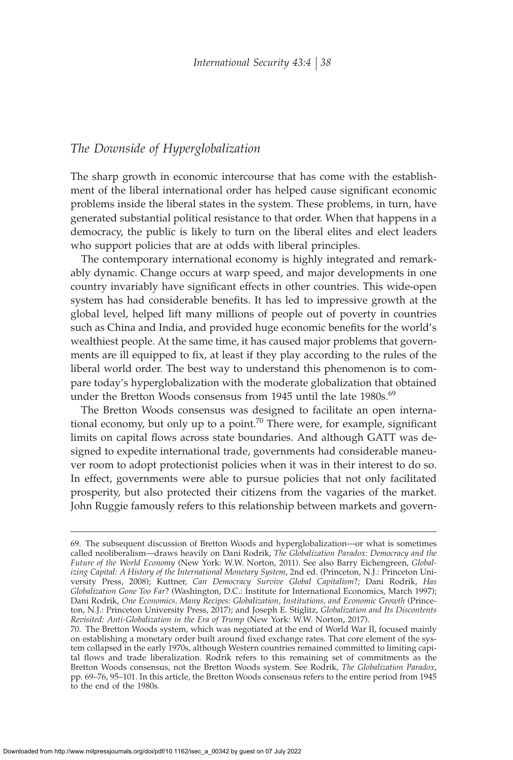# *The Downside of Hyperglobalization*

The sharp growth in economic intercourse that has come with the establishment of the liberal international order has helped cause significant economic problems inside the liberal states in the system. These problems, in turn, have generated substantial political resistance to that order. When that happens in a democracy, the public is likely to turn on the liberal elites and elect leaders who support policies that are at odds with liberal principles.

The contemporary international economy is highly integrated and remarkably dynamic. Change occurs at warp speed, and major developments in one country invariably have significant effects in other countries. This wide-open system has had considerable benefits. It has led to impressive growth at the global level, helped lift many millions of people out of poverty in countries such as China and India, and provided huge economic benefits for the world's wealthiest people. At the same time, it has caused major problems that governments are ill equipped to fix, at least if they play according to the rules of the liberal world order. The best way to understand this phenomenon is to compare today's hyperglobalization with the moderate globalization that obtained under the Bretton Woods consensus from 1945 until the late 1980s.<sup>69</sup>

The Bretton Woods consensus was designed to facilitate an open international economy, but only up to a point.<sup>70</sup> There were, for example, significant limits on capital flows across state boundaries. And although GATT was designed to expedite international trade, governments had considerable maneuver room to adopt protectionist policies when it was in their interest to do so. In effect, governments were able to pursue policies that not only facilitated prosperity, but also protected their citizens from the vagaries of the market. John Ruggie famously refers to this relationship between markets and govern-

<sup>69.</sup> The subsequent discussion of Bretton Woods and hyperglobalization—or what is sometimes called neoliberalism—draws heavily on Dani Rodrik, *The Globalization Paradox: Democracy and the Future of the World Economy* (New York: W.W. Norton, 2011). See also Barry Eichengreen, *Globalizing Capital: A History of the International Monetary System*, 2nd ed. (Princeton, N.J.: Princeton University Press, 2008); Kuttner, *Can Democracy Survive Global Capitalism*?; Dani Rodrik, *Has Globalization Gone Too Far*? (Washington, D.C.: Institute for International Economics, March 1997); Dani Rodrik, *One Economics, Many Recipes: Globalization, Institutions, and Economic Growth* (Princeton, N.J.: Princeton University Press, 2017); and Joseph E. Stiglitz, *Globalization and Its Discontents Revisited: Anti-Globalization in the Era of Trump* (New York: W.W. Norton, 2017).

<sup>70.</sup> The Bretton Woods system, which was negotiated at the end of World War II, focused mainly on establishing a monetary order built around fixed exchange rates. That core element of the system collapsed in the early 1970s, although Western countries remained committed to limiting capital flows and trade liberalization. Rodrik refers to this remaining set of commitments as the Bretton Woods consensus, not the Bretton Woods system. See Rodrik, *The Globalization Paradox*, pp. 69–76, 95–101. In this article, the Bretton Woods consensus refers to the entire period from 1945 to the end of the 1980s.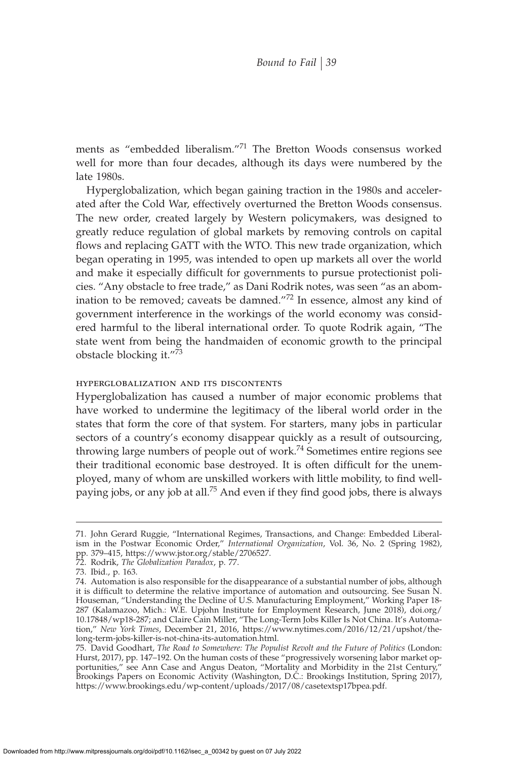ments as "embedded liberalism."<sup>71</sup> The Bretton Woods consensus worked well for more than four decades, although its days were numbered by the late 1980s.

Hyperglobalization, which began gaining traction in the 1980s and accelerated after the Cold War, effectively overturned the Bretton Woods consensus. The new order, created largely by Western policymakers, was designed to greatly reduce regulation of global markets by removing controls on capital flows and replacing GATT with the WTO. This new trade organization, which began operating in 1995, was intended to open up markets all over the world and make it especially difficult for governments to pursue protectionist policies. "Any obstacle to free trade," as Dani Rodrik notes, was seen "as an abomination to be removed; caveats be damned."<sup>72</sup> In essence, almost any kind of government interference in the workings of the world economy was considered harmful to the liberal international order. To quote Rodrik again, "The state went from being the handmaiden of economic growth to the principal obstacle blocking it."<sup>73</sup>

#### hyperglobalization and its discontents

Hyperglobalization has caused a number of major economic problems that have worked to undermine the legitimacy of the liberal world order in the states that form the core of that system. For starters, many jobs in particular sectors of a country's economy disappear quickly as a result of outsourcing, throwing large numbers of people out of work.<sup>74</sup> Sometimes entire regions see their traditional economic base destroyed. It is often difficult for the unemployed, many of whom are unskilled workers with little mobility, to find wellpaying jobs, or any job at all.<sup>75</sup> And even if they find good jobs, there is always

<sup>71.</sup> John Gerard Ruggie, "International Regimes, Transactions, and Change: Embedded Liberalism in the Postwar Economic Order," *International Organization*, Vol. 36, No. 2 (Spring 1982), pp. 379–415, https://www.jstor.org/stable/2706527.

<sup>72.</sup> Rodrik, *The Globalization Paradox*, p. 77.

<sup>73.</sup> Ibid., p. 163.

<sup>74.</sup> Automation is also responsible for the disappearance of a substantial number of jobs, although it is difficult to determine the relative importance of automation and outsourcing. See Susan N. Houseman, "Understanding the Decline of U.S. Manufacturing Employment," Working Paper 18- 287 (Kalamazoo, Mich.: W.E. Upjohn Institute for Employment Research, June 2018), doi.org/ 10.17848/wp18-287; and Claire Cain Miller, "The Long-Term Jobs Killer Is Not China. It's Automation," *New York Times*, December 21, 2016, https://www.nytimes.com/2016/12/21/upshot/thelong-term-jobs-killer-is-not-china-its-automation.html.

<sup>75.</sup> David Goodhart, *The Road to Somewhere: The Populist Revolt and the Future of Politics* (London: Hurst, 2017), pp. 147–192. On the human costs of these "progressively worsening labor market opportunities," see Ann Case and Angus Deaton, "Mortality and Morbidity in the 21st Century," Brookings Papers on Economic Activity (Washington, D.C.: Brookings Institution, Spring 2017), https://www.brookings.edu/wp-content/uploads/2017/08/casetextsp17bpea.pdf.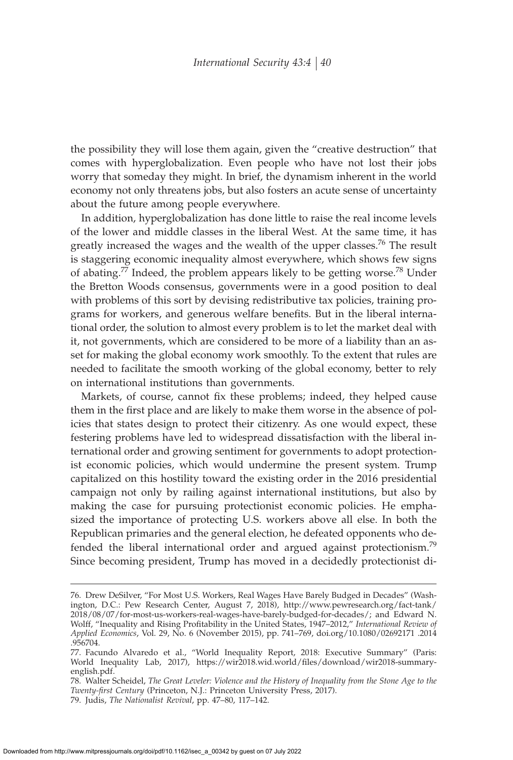the possibility they will lose them again, given the "creative destruction" that comes with hyperglobalization. Even people who have not lost their jobs worry that someday they might. In brief, the dynamism inherent in the world economy not only threatens jobs, but also fosters an acute sense of uncertainty about the future among people everywhere.

In addition, hyperglobalization has done little to raise the real income levels of the lower and middle classes in the liberal West. At the same time, it has greatly increased the wages and the wealth of the upper classes.<sup>76</sup> The result is staggering economic inequality almost everywhere, which shows few signs of abating.<sup>77</sup> Indeed, the problem appears likely to be getting worse.<sup>78</sup> Under the Bretton Woods consensus, governments were in a good position to deal with problems of this sort by devising redistributive tax policies, training programs for workers, and generous welfare benefits. But in the liberal international order, the solution to almost every problem is to let the market deal with it, not governments, which are considered to be more of a liability than an asset for making the global economy work smoothly. To the extent that rules are needed to facilitate the smooth working of the global economy, better to rely on international institutions than governments.

Markets, of course, cannot fix these problems; indeed, they helped cause them in the first place and are likely to make them worse in the absence of policies that states design to protect their citizenry. As one would expect, these festering problems have led to widespread dissatisfaction with the liberal international order and growing sentiment for governments to adopt protectionist economic policies, which would undermine the present system. Trump capitalized on this hostility toward the existing order in the 2016 presidential campaign not only by railing against international institutions, but also by making the case for pursuing protectionist economic policies. He emphasized the importance of protecting U.S. workers above all else. In both the Republican primaries and the general election, he defeated opponents who defended the liberal international order and argued against protectionism.<sup>79</sup> Since becoming president, Trump has moved in a decidedly protectionist di-

<sup>76.</sup> Drew DeSilver, "For Most U.S. Workers, Real Wages Have Barely Budged in Decades" (Washington, D.C.: Pew Research Center, August 7, 2018), http://www.pewresearch.org/fact-tank/ 2018/08/07/for-most-us-workers-real-wages-have-barely-budged-for-decades/; and Edward N. Wolff, "Inequality and Rising Profitability in the United States, 1947-2012," International Review of *Applied Economics*, Vol. 29, No. 6 (November 2015), pp. 741–769, doi.org/10.1080/02692171 .2014 .956704.

<sup>77.</sup> Facundo Alvaredo et al., "World Inequality Report, 2018: Executive Summary" (Paris: World Inequality Lab, 2017), https://wir2018.wid.world/ªles/download/wir2018-summaryenglish.pdf.

<sup>78.</sup> Walter Scheidel, *The Great Leveler: Violence and the History of Inequality from the Stone Age to the Twenty-first Century* (Princeton, N.J.: Princeton University Press, 2017).

<sup>79.</sup> Judis, *The Nationalist Revival*, pp. 47–80, 117–142.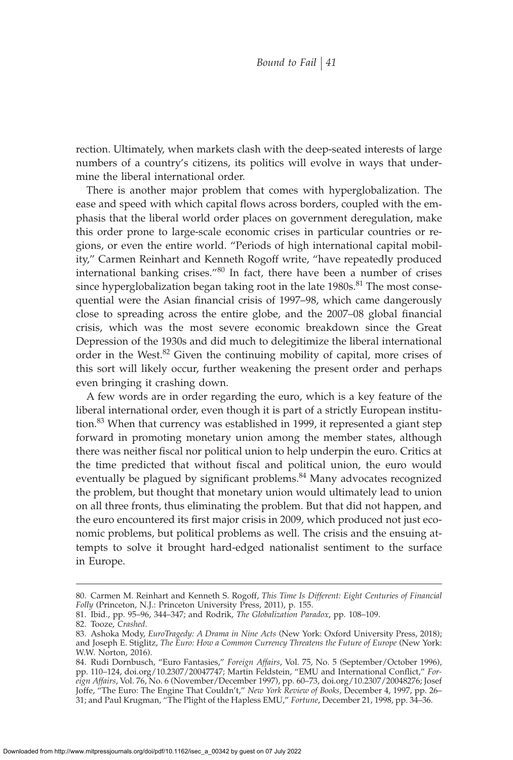rection. Ultimately, when markets clash with the deep-seated interests of large numbers of a country's citizens, its politics will evolve in ways that undermine the liberal international order.

There is another major problem that comes with hyperglobalization. The ease and speed with which capital flows across borders, coupled with the emphasis that the liberal world order places on government deregulation, make this order prone to large-scale economic crises in particular countries or regions, or even the entire world. "Periods of high international capital mobility," Carmen Reinhart and Kenneth Rogoff write, "have repeatedly produced international banking crises."<sup>80</sup> In fact, there have been a number of crises since hyperglobalization began taking root in the late  $1980s$ .<sup>81</sup> The most consequential were the Asian financial crisis of 1997–98, which came dangerously close to spreading across the entire globe, and the 2007–08 global financial crisis, which was the most severe economic breakdown since the Great Depression of the 1930s and did much to delegitimize the liberal international order in the West. $82$  Given the continuing mobility of capital, more crises of this sort will likely occur, further weakening the present order and perhaps even bringing it crashing down.

A few words are in order regarding the euro, which is a key feature of the liberal international order, even though it is part of a strictly European institution.<sup>83</sup> When that currency was established in 1999, it represented a giant step forward in promoting monetary union among the member states, although there was neither fiscal nor political union to help underpin the euro. Critics at the time predicted that without fiscal and political union, the euro would eventually be plagued by significant problems.<sup>84</sup> Many advocates recognized the problem, but thought that monetary union would ultimately lead to union on all three fronts, thus eliminating the problem. But that did not happen, and the euro encountered its first major crisis in 2009, which produced not just economic problems, but political problems as well. The crisis and the ensuing attempts to solve it brought hard-edged nationalist sentiment to the surface in Europe.

<sup>80.</sup> Carmen M. Reinhart and Kenneth S. Rogoff, *This Time Is Different: Eight Centuries of Financial Folly* (Princeton, N.J.: Princeton University Press, 2011), p. 155.

<sup>81.</sup> Ibid., pp. 95–96, 344–347; and Rodrik, *The Globalization Paradox*, pp. 108–109.

<sup>82.</sup> Tooze, *Crashed*.

<sup>83.</sup> Ashoka Mody, *EuroTragedy: A Drama in Nine Acts* (New York: Oxford University Press, 2018); and Joseph E. Stiglitz, *The Euro: How a Common Currency Threatens the Future of Europe* (New York: W.W. Norton, 2016).

<sup>84.</sup> Rudi Dornbusch, "Euro Fantasies," *Foreign Affairs*, Vol. 75, No. 5 (September/October 1996), pp. 110-124, doi.org/10.2307/20047747; Martin Feldstein, "EMU and International Conflict," For*eign Affairs*, Vol. 76, No. 6 (November/December 1997), pp. 60–73, doi.org/10.2307/20048276; Josef Joffe, "The Euro: The Engine That Couldn't," *New York Review of Books*, December 4, 1997, pp. 26– 31; and Paul Krugman, "The Plight of the Hapless EMU," *Fortune*, December 21, 1998, pp. 34–36.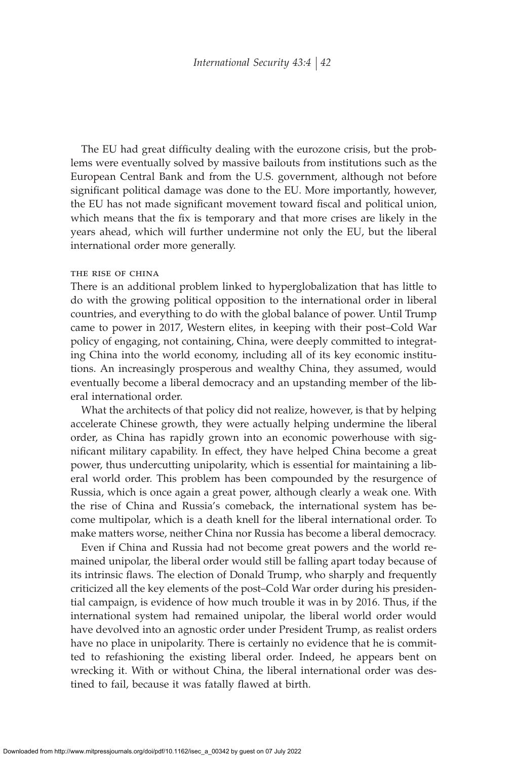The EU had great difficulty dealing with the eurozone crisis, but the problems were eventually solved by massive bailouts from institutions such as the European Central Bank and from the U.S. government, although not before significant political damage was done to the EU. More importantly, however, the EU has not made significant movement toward fiscal and political union, which means that the fix is temporary and that more crises are likely in the years ahead, which will further undermine not only the EU, but the liberal international order more generally.

#### the rise of china

There is an additional problem linked to hyperglobalization that has little to do with the growing political opposition to the international order in liberal countries, and everything to do with the global balance of power. Until Trump came to power in 2017, Western elites, in keeping with their post–Cold War policy of engaging, not containing, China, were deeply committed to integrating China into the world economy, including all of its key economic institutions. An increasingly prosperous and wealthy China, they assumed, would eventually become a liberal democracy and an upstanding member of the liberal international order.

What the architects of that policy did not realize, however, is that by helping accelerate Chinese growth, they were actually helping undermine the liberal order, as China has rapidly grown into an economic powerhouse with significant military capability. In effect, they have helped China become a great power, thus undercutting unipolarity, which is essential for maintaining a liberal world order. This problem has been compounded by the resurgence of Russia, which is once again a great power, although clearly a weak one. With the rise of China and Russia's comeback, the international system has become multipolar, which is a death knell for the liberal international order. To make matters worse, neither China nor Russia has become a liberal democracy.

Even if China and Russia had not become great powers and the world remained unipolar, the liberal order would still be falling apart today because of its intrinsic flaws. The election of Donald Trump, who sharply and frequently criticized all the key elements of the post–Cold War order during his presidential campaign, is evidence of how much trouble it was in by 2016. Thus, if the international system had remained unipolar, the liberal world order would have devolved into an agnostic order under President Trump, as realist orders have no place in unipolarity. There is certainly no evidence that he is committed to refashioning the existing liberal order. Indeed, he appears bent on wrecking it. With or without China, the liberal international order was destined to fail, because it was fatally flawed at birth.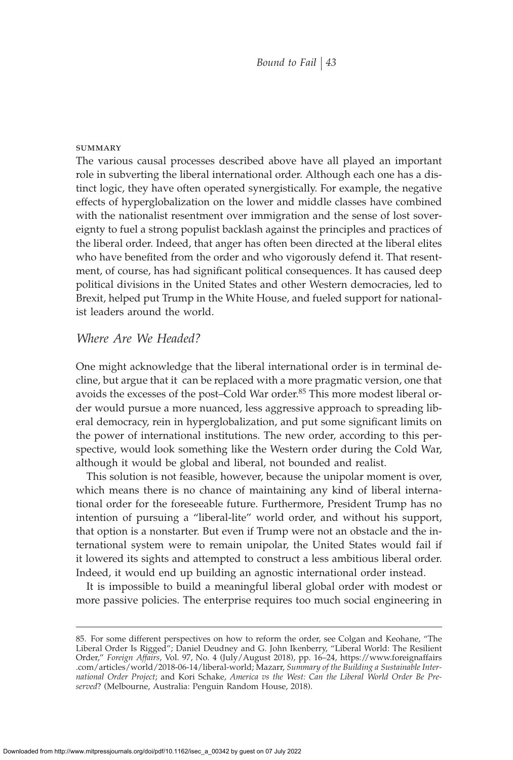#### summary

The various causal processes described above have all played an important role in subverting the liberal international order. Although each one has a distinct logic, they have often operated synergistically. For example, the negative effects of hyperglobalization on the lower and middle classes have combined with the nationalist resentment over immigration and the sense of lost sovereignty to fuel a strong populist backlash against the principles and practices of the liberal order. Indeed, that anger has often been directed at the liberal elites who have benefited from the order and who vigorously defend it. That resentment, of course, has had significant political consequences. It has caused deep political divisions in the United States and other Western democracies, led to Brexit, helped put Trump in the White House, and fueled support for nationalist leaders around the world.

# *Where Are We Headed?*

One might acknowledge that the liberal international order is in terminal decline, but argue that it can be replaced with a more pragmatic version, one that avoids the excesses of the post–Cold War order.<sup>85</sup> This more modest liberal order would pursue a more nuanced, less aggressive approach to spreading liberal democracy, rein in hyperglobalization, and put some significant limits on the power of international institutions. The new order, according to this perspective, would look something like the Western order during the Cold War, although it would be global and liberal, not bounded and realist.

This solution is not feasible, however, because the unipolar moment is over, which means there is no chance of maintaining any kind of liberal international order for the foreseeable future. Furthermore, President Trump has no intention of pursuing a "liberal-lite" world order, and without his support, that option is a nonstarter. But even if Trump were not an obstacle and the international system were to remain unipolar, the United States would fail if it lowered its sights and attempted to construct a less ambitious liberal order. Indeed, it would end up building an agnostic international order instead.

It is impossible to build a meaningful liberal global order with modest or more passive policies. The enterprise requires too much social engineering in

<sup>85.</sup> For some different perspectives on how to reform the order, see Colgan and Keohane, "The Liberal Order Is Rigged"; Daniel Deudney and G. John Ikenberry, "Liberal World: The Resilient Order," *Foreign Affairs*, Vol. 97, No. 4 (July/August 2018), pp. 16–24, https://www.foreignaffairs .com/articles/world/2018-06-14/liberal-world; Mazarr, *Summary of the Building a Sustainable International Order Project*; and Kori Schake, *America vs the West: Can the Liberal World Order Be Preserved*? (Melbourne, Australia: Penguin Random House, 2018).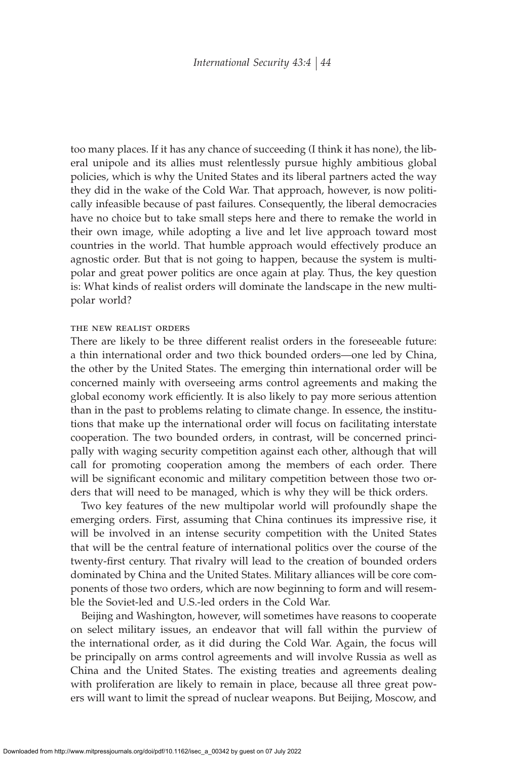too many places. If it has any chance of succeeding (I think it has none), the liberal unipole and its allies must relentlessly pursue highly ambitious global policies, which is why the United States and its liberal partners acted the way they did in the wake of the Cold War. That approach, however, is now politically infeasible because of past failures. Consequently, the liberal democracies have no choice but to take small steps here and there to remake the world in their own image, while adopting a live and let live approach toward most countries in the world. That humble approach would effectively produce an agnostic order. But that is not going to happen, because the system is multipolar and great power politics are once again at play. Thus, the key question is: What kinds of realist orders will dominate the landscape in the new multipolar world?

#### the new realist orders

There are likely to be three different realist orders in the foreseeable future: a thin international order and two thick bounded orders—one led by China, the other by the United States. The emerging thin international order will be concerned mainly with overseeing arms control agreements and making the global economy work efficiently. It is also likely to pay more serious attention than in the past to problems relating to climate change. In essence, the institutions that make up the international order will focus on facilitating interstate cooperation. The two bounded orders, in contrast, will be concerned principally with waging security competition against each other, although that will call for promoting cooperation among the members of each order. There will be significant economic and military competition between those two orders that will need to be managed, which is why they will be thick orders.

Two key features of the new multipolar world will profoundly shape the emerging orders. First, assuming that China continues its impressive rise, it will be involved in an intense security competition with the United States that will be the central feature of international politics over the course of the twenty-first century. That rivalry will lead to the creation of bounded orders dominated by China and the United States. Military alliances will be core components of those two orders, which are now beginning to form and will resemble the Soviet-led and U.S.-led orders in the Cold War.

Beijing and Washington, however, will sometimes have reasons to cooperate on select military issues, an endeavor that will fall within the purview of the international order, as it did during the Cold War. Again, the focus will be principally on arms control agreements and will involve Russia as well as China and the United States. The existing treaties and agreements dealing with proliferation are likely to remain in place, because all three great powers will want to limit the spread of nuclear weapons. But Beijing, Moscow, and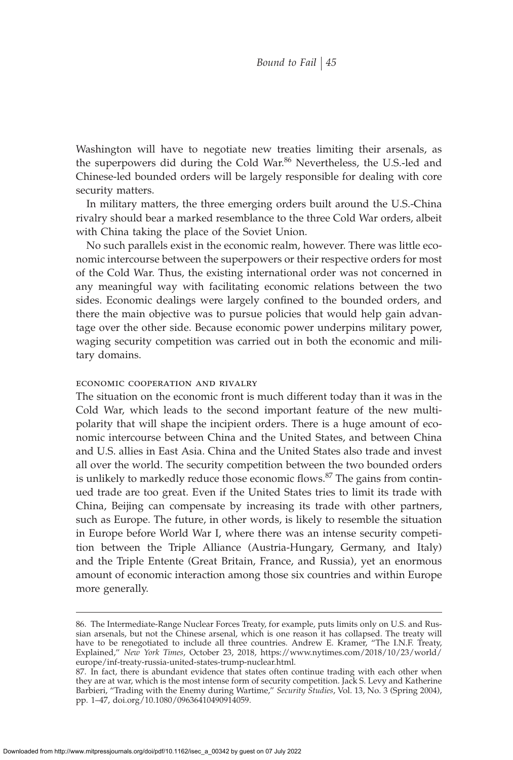Washington will have to negotiate new treaties limiting their arsenals, as the superpowers did during the Cold War.<sup>86</sup> Nevertheless, the U.S.-led and Chinese-led bounded orders will be largely responsible for dealing with core security matters.

In military matters, the three emerging orders built around the U.S.-China rivalry should bear a marked resemblance to the three Cold War orders, albeit with China taking the place of the Soviet Union.

No such parallels exist in the economic realm, however. There was little economic intercourse between the superpowers or their respective orders for most of the Cold War. Thus, the existing international order was not concerned in any meaningful way with facilitating economic relations between the two sides. Economic dealings were largely confined to the bounded orders, and there the main objective was to pursue policies that would help gain advantage over the other side. Because economic power underpins military power, waging security competition was carried out in both the economic and military domains.

#### economic cooperation and rivalry

The situation on the economic front is much different today than it was in the Cold War, which leads to the second important feature of the new multipolarity that will shape the incipient orders. There is a huge amount of economic intercourse between China and the United States, and between China and U.S. allies in East Asia. China and the United States also trade and invest all over the world. The security competition between the two bounded orders is unlikely to markedly reduce those economic flows. $87$  The gains from continued trade are too great. Even if the United States tries to limit its trade with China, Beijing can compensate by increasing its trade with other partners, such as Europe. The future, in other words, is likely to resemble the situation in Europe before World War I, where there was an intense security competition between the Triple Alliance (Austria-Hungary, Germany, and Italy) and the Triple Entente (Great Britain, France, and Russia), yet an enormous amount of economic interaction among those six countries and within Europe more generally.

<sup>86.</sup> The Intermediate-Range Nuclear Forces Treaty, for example, puts limits only on U.S. and Russian arsenals, but not the Chinese arsenal, which is one reason it has collapsed. The treaty will have to be renegotiated to include all three countries. Andrew E. Kramer, "The I.N.F. Treaty, Explained," *New York Times*, October 23, 2018, https://www.nytimes.com/2018/10/23/world/ europe/inf-treaty-russia-united-states-trump-nuclear.html.

<sup>87.</sup> In fact, there is abundant evidence that states often continue trading with each other when they are at war, which is the most intense form of security competition. Jack S. Levy and Katherine Barbieri, "Trading with the Enemy during Wartime," *Security Studies*, Vol. 13, No. 3 (Spring 2004), pp. 1–47, doi.org/10.1080/09636410490914059.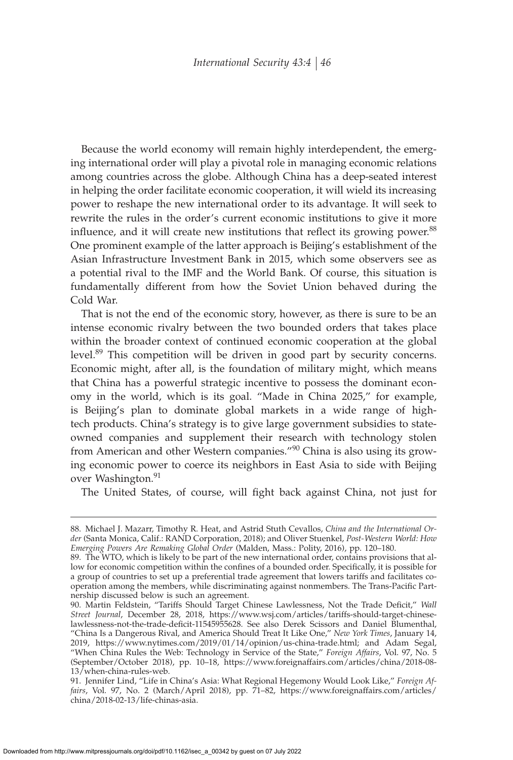Because the world economy will remain highly interdependent, the emerging international order will play a pivotal role in managing economic relations among countries across the globe. Although China has a deep-seated interest in helping the order facilitate economic cooperation, it will wield its increasing power to reshape the new international order to its advantage. It will seek to rewrite the rules in the order's current economic institutions to give it more influence, and it will create new institutions that reflect its growing power.<sup>88</sup> One prominent example of the latter approach is Beijing's establishment of the Asian Infrastructure Investment Bank in 2015, which some observers see as a potential rival to the IMF and the World Bank. Of course, this situation is fundamentally different from how the Soviet Union behaved during the Cold War.

That is not the end of the economic story, however, as there is sure to be an intense economic rivalry between the two bounded orders that takes place within the broader context of continued economic cooperation at the global level.<sup>89</sup> This competition will be driven in good part by security concerns. Economic might, after all, is the foundation of military might, which means that China has a powerful strategic incentive to possess the dominant economy in the world, which is its goal. "Made in China 2025," for example, is Beijing's plan to dominate global markets in a wide range of hightech products. China's strategy is to give large government subsidies to stateowned companies and supplement their research with technology stolen from American and other Western companies."<sup>90</sup> China is also using its growing economic power to coerce its neighbors in East Asia to side with Beijing over Washington.<sup>91</sup>

The United States, of course, will fight back against China, not just for

<sup>88.</sup> Michael J. Mazarr, Timothy R. Heat, and Astrid Stuth Cevallos, *China and the International Order* (Santa Monica, Calif.: RAND Corporation, 2018); and Oliver Stuenkel, *Post-Western World: How Emerging Powers Are Remaking Global Order* (Malden, Mass.: Polity, 2016), pp. 120–180.

<sup>89.</sup> The WTO, which is likely to be part of the new international order, contains provisions that allow for economic competition within the confines of a bounded order. Specifically, it is possible for a group of countries to set up a preferential trade agreement that lowers tariffs and facilitates cooperation among the members, while discriminating against nonmembers. The Trans-Pacific Partnership discussed below is such an agreement.

<sup>90.</sup> Martin Feldstein, "Tariffs Should Target Chinese Lawlessness, Not the Trade Deficit," *Wall Street Journal*, December 28, 2018, https://www.wsj.com/articles/tariffs-should-target-chineselawlessness-not-the-trade-deficit-11545955628. See also Derek Scissors and Daniel Blumenthal, "China Is a Dangerous Rival, and America Should Treat It Like One," *New York Times*, January 14, 2019, https://www.nytimes.com/2019/01/14/opinion/us-china-trade.html; and Adam Segal, "When China Rules the Web: Technology in Service of the State," *Foreign Affairs*, Vol. 97, No. 5 (September/October 2018), pp. 10–18, https://www.foreignaffairs.com/articles/china/2018-08- 13/when-china-rules-web.

<sup>91.</sup> Jennifer Lind, "Life in China's Asia: What Regional Hegemony Would Look Like," *Foreign Affairs*, Vol. 97, No. 2 (March/April 2018), pp. 71–82, https://www.foreignaffairs.com/articles/ china/2018-02-13/life-chinas-asia.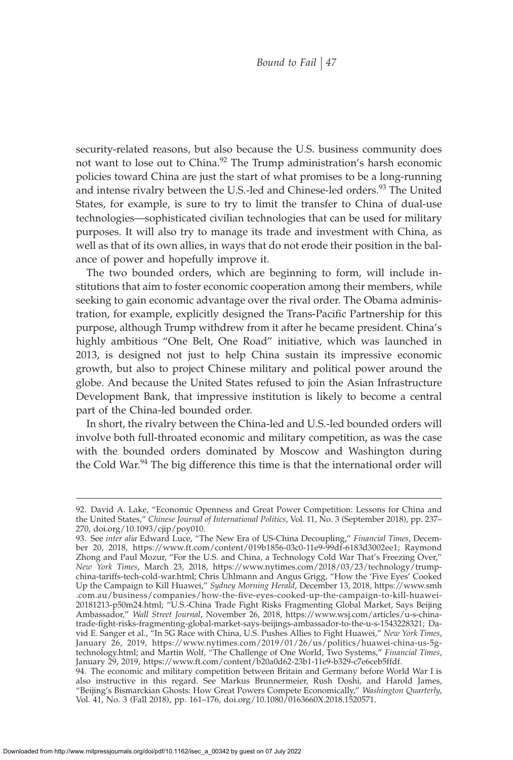security-related reasons, but also because the U.S. business community does not want to lose out to China.<sup>92</sup> The Trump administration's harsh economic policies toward China are just the start of what promises to be a long-running and intense rivalry between the U.S.-led and Chinese-led orders.<sup>93</sup> The United States, for example, is sure to try to limit the transfer to China of dual-use technologies—sophisticated civilian technologies that can be used for military purposes. It will also try to manage its trade and investment with China, as well as that of its own allies, in ways that do not erode their position in the balance of power and hopefully improve it.

The two bounded orders, which are beginning to form, will include institutions that aim to foster economic cooperation among their members, while seeking to gain economic advantage over the rival order. The Obama administration, for example, explicitly designed the Trans-Pacific Partnership for this purpose, although Trump withdrew from it after he became president. China's highly ambitious "One Belt, One Road" initiative, which was launched in 2013, is designed not just to help China sustain its impressive economic growth, but also to project Chinese military and political power around the globe. And because the United States refused to join the Asian Infrastructure Development Bank, that impressive institution is likely to become a central part of the China-led bounded order.

In short, the rivalry between the China-led and U.S.-led bounded orders will involve both full-throated economic and military competition, as was the case with the bounded orders dominated by Moscow and Washington during the Cold War.<sup>94</sup> The big difference this time is that the international order will

<sup>92.</sup> David A. Lake, "Economic Openness and Great Power Competition: Lessons for China and the United States," *Chinese Journal of International Politics*, Vol. 11, No. 3 (September 2018), pp. 237– 270, doi.org/10.1093/cjip/poy010.

<sup>93.</sup> See *inter alia* Edward Luce, "The New Era of US-China Decoupling," *Financial Times*, December 20, 2018, https://www.ft.com/content/019b1856-03c0-11e9-99df-6183d3002ee1; Raymond Zhong and Paul Mozur, "For the U.S. and China, a Technology Cold War That's Freezing Over," *New York Times*, March 23, 2018, https://www.nytimes.com/2018/03/23/technology/trumpchina-tariffs-tech-cold-war.html; Chris Uhlmann and Angus Grigg, "How the 'Five Eyes' Cooked Up the Campaign to Kill Huawei," *Sydney Morning Herald*, December 13, 2018, https://www.smh .com.au/business/companies/how-the-five-eyes-cooked-up-the-campaign-to-kill-huawei-20181213-p50m24.html; "U.S.-China Trade Fight Risks Fragmenting Global Market, Says Beijing Ambassador," *Wall Street Journal*, November 26, 2018, https://www.wsj.com/articles/u-s-chinatrade-fight-risks-fragmenting-global-market-says-beijings-ambassador-to-the-u-s-1543228321; David E. Sanger et al., "In 5G Race with China, U.S. Pushes Allies to Fight Huawei," *New York Times*, January 26, 2019, https://www.nytimes.com/2019/01/26/us/politics/huawei-china-us-5gtechnology.html; and Martin Wolf, "The Challenge of One World, Two Systems," *Financial Times*, January 29, 2019, https://www.ft.com/content/b20a0d62-23b1-11e9-b329-c7e6ceb5ffdf.

<sup>94.</sup> The economic and military competition between Britain and Germany before World War I is also instructive in this regard. See Markus Brunnermeier, Rush Doshi, and Harold James, "Beijing's Bismarckian Ghosts: How Great Powers Compete Economically," *Washington Quarterly*, Vol. 41, No. 3 (Fall 2018), pp. 161–176, doi.org/10.1080/0163660X.2018.1520571.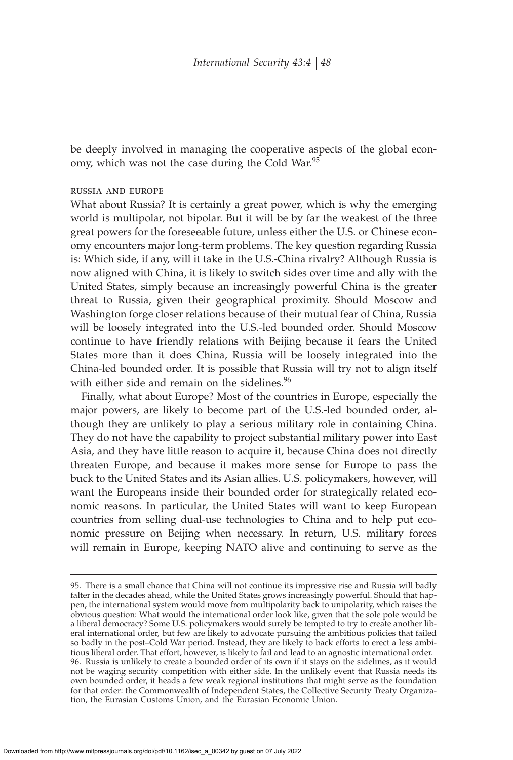be deeply involved in managing the cooperative aspects of the global economy, which was not the case during the Cold War.<sup>95</sup>

#### russia and europe

What about Russia? It is certainly a great power, which is why the emerging world is multipolar, not bipolar. But it will be by far the weakest of the three great powers for the foreseeable future, unless either the U.S. or Chinese economy encounters major long-term problems. The key question regarding Russia is: Which side, if any, will it take in the U.S.-China rivalry? Although Russia is now aligned with China, it is likely to switch sides over time and ally with the United States, simply because an increasingly powerful China is the greater threat to Russia, given their geographical proximity. Should Moscow and Washington forge closer relations because of their mutual fear of China, Russia will be loosely integrated into the U.S.-led bounded order. Should Moscow continue to have friendly relations with Beijing because it fears the United States more than it does China, Russia will be loosely integrated into the China-led bounded order. It is possible that Russia will try not to align itself with either side and remain on the sidelines.<sup>96</sup>

Finally, what about Europe? Most of the countries in Europe, especially the major powers, are likely to become part of the U.S.-led bounded order, although they are unlikely to play a serious military role in containing China. They do not have the capability to project substantial military power into East Asia, and they have little reason to acquire it, because China does not directly threaten Europe, and because it makes more sense for Europe to pass the buck to the United States and its Asian allies. U.S. policymakers, however, will want the Europeans inside their bounded order for strategically related economic reasons. In particular, the United States will want to keep European countries from selling dual-use technologies to China and to help put economic pressure on Beijing when necessary. In return, U.S. military forces will remain in Europe, keeping NATO alive and continuing to serve as the

<sup>95.</sup> There is a small chance that China will not continue its impressive rise and Russia will badly falter in the decades ahead, while the United States grows increasingly powerful. Should that happen, the international system would move from multipolarity back to unipolarity, which raises the obvious question: What would the international order look like, given that the sole pole would be a liberal democracy? Some U.S. policymakers would surely be tempted to try to create another liberal international order, but few are likely to advocate pursuing the ambitious policies that failed so badly in the post–Cold War period. Instead, they are likely to back efforts to erect a less ambitious liberal order. That effort, however, is likely to fail and lead to an agnostic international order. 96. Russia is unlikely to create a bounded order of its own if it stays on the sidelines, as it would not be waging security competition with either side. In the unlikely event that Russia needs its own bounded order, it heads a few weak regional institutions that might serve as the foundation for that order: the Commonwealth of Independent States, the Collective Security Treaty Organization, the Eurasian Customs Union, and the Eurasian Economic Union.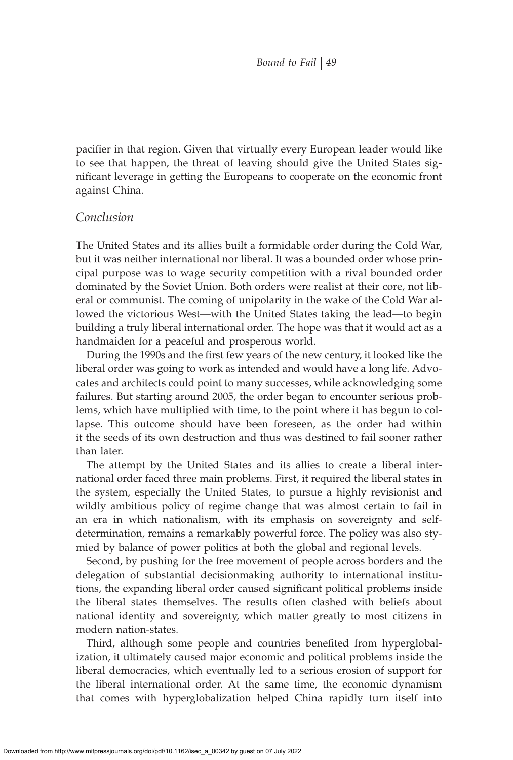pacifier in that region. Given that virtually every European leader would like to see that happen, the threat of leaving should give the United States significant leverage in getting the Europeans to cooperate on the economic front against China.

# *Conclusion*

The United States and its allies built a formidable order during the Cold War, but it was neither international nor liberal. It was a bounded order whose principal purpose was to wage security competition with a rival bounded order dominated by the Soviet Union. Both orders were realist at their core, not liberal or communist. The coming of unipolarity in the wake of the Cold War allowed the victorious West—with the United States taking the lead—to begin building a truly liberal international order. The hope was that it would act as a handmaiden for a peaceful and prosperous world.

During the 1990s and the first few years of the new century, it looked like the liberal order was going to work as intended and would have a long life. Advocates and architects could point to many successes, while acknowledging some failures. But starting around 2005, the order began to encounter serious problems, which have multiplied with time, to the point where it has begun to collapse. This outcome should have been foreseen, as the order had within it the seeds of its own destruction and thus was destined to fail sooner rather than later.

The attempt by the United States and its allies to create a liberal international order faced three main problems. First, it required the liberal states in the system, especially the United States, to pursue a highly revisionist and wildly ambitious policy of regime change that was almost certain to fail in an era in which nationalism, with its emphasis on sovereignty and selfdetermination, remains a remarkably powerful force. The policy was also stymied by balance of power politics at both the global and regional levels.

Second, by pushing for the free movement of people across borders and the delegation of substantial decisionmaking authority to international institutions, the expanding liberal order caused significant political problems inside the liberal states themselves. The results often clashed with beliefs about national identity and sovereignty, which matter greatly to most citizens in modern nation-states.

Third, although some people and countries benefited from hyperglobalization, it ultimately caused major economic and political problems inside the liberal democracies, which eventually led to a serious erosion of support for the liberal international order. At the same time, the economic dynamism that comes with hyperglobalization helped China rapidly turn itself into